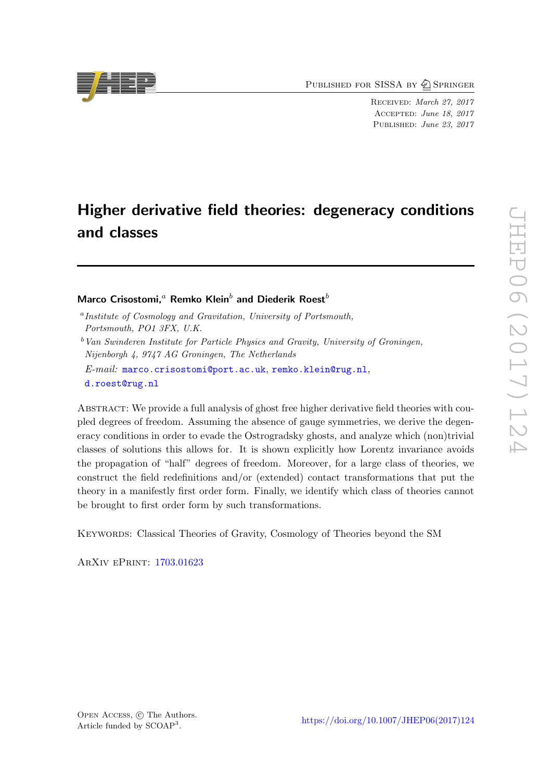PUBLISHED FOR SISSA BY 2 SPRINGER

Received: March 27, 2017 Accepted: June 18, 2017 PUBLISHED: June 23, 2017

# Higher derivative field theories: degeneracy conditions and classes

# Marco Crisostomi,<sup>a</sup> Remko Klein<sup>b</sup> and Diederik Roest<sup>b</sup>

<sup>a</sup> Institute of Cosmology and Gravitation, University of Portsmouth, Portsmouth, PO1 3FX, U.K.

 $b$  Van Swinderen Institute for Particle Physics and Gravity, University of Groningen, Nijenborgh 4, 9747 AG Groningen, The Netherlands

E-mail: [marco.crisostomi@port.ac.uk](mailto:marco.crisostomi@port.ac.uk), [remko.klein@rug.nl](mailto:remko.klein@rug.nl), [d.roest@rug.nl](mailto:d.roest@rug.nl)

ABSTRACT: We provide a full analysis of ghost free higher derivative field theories with coupled degrees of freedom. Assuming the absence of gauge symmetries, we derive the degeneracy conditions in order to evade the Ostrogradsky ghosts, and analyze which (non)trivial classes of solutions this allows for. It is shown explicitly how Lorentz invariance avoids the propagation of "half" degrees of freedom. Moreover, for a large class of theories, we construct the field redefinitions and/or (extended) contact transformations that put the theory in a manifestly first order form. Finally, we identify which class of theories cannot be brought to first order form by such transformations.

Keywords: Classical Theories of Gravity, Cosmology of Theories beyond the SM

ArXiv ePrint: [1703.01623](https://arxiv.org/abs/1703.01623)

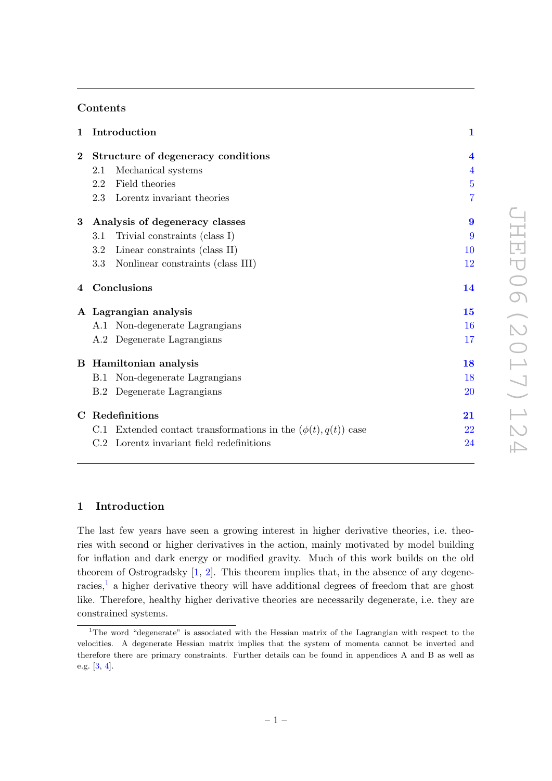# Contents

| $\mathbf{1}$ | Introduction                                                       | $\mathbf{1}$            |
|--------------|--------------------------------------------------------------------|-------------------------|
| $\bf{2}$     | Structure of degeneracy conditions                                 | $\overline{\mathbf{4}}$ |
|              | Mechanical systems<br>2.1                                          | $\overline{4}$          |
|              | Field theories<br>2.2                                              | 5                       |
|              | Lorentz invariant theories<br>2.3                                  | 7                       |
| $\bf{3}$     | Analysis of degeneracy classes                                     | $\boldsymbol{9}$        |
|              | Trivial constraints (class I)<br>3.1                               | 9                       |
|              | Linear constraints (class II)<br>3.2                               | 10                      |
|              | Nonlinear constraints (class III)<br>3.3                           | 12                      |
| 4            | Conclusions                                                        | 14                      |
|              | A Lagrangian analysis                                              | 15                      |
|              | A.1 Non-degenerate Lagrangians                                     | 16                      |
|              | A.2 Degenerate Lagrangians                                         | 17                      |
|              | <b>B</b> Hamiltonian analysis                                      | 18                      |
|              | B.1 Non-degenerate Lagrangians                                     | 18                      |
|              | <b>B.2</b> Degenerate Lagrangians                                  | 20                      |
|              | <b>C</b> Redefinitions                                             | 21                      |
|              | C.1 Extended contact transformations in the $(\phi(t), q(t))$ case | 22                      |
|              | C.2 Lorentz invariant field redefinitions                          | 24                      |

# <span id="page-1-0"></span>1 Introduction

The last few years have seen a growing interest in higher derivative theories, i.e. theories with second or higher derivatives in the action, mainly motivated by model building for inflation and dark energy or modified gravity. Much of this work builds on the old theorem of Ostrogradsky [\[1,](#page-25-0) [2\]](#page-25-1). This theorem implies that, in the absence of any degene-racies,<sup>[1](#page-1-1)</sup> a higher derivative theory will have additional degrees of freedom that are ghost like. Therefore, healthy higher derivative theories are necessarily degenerate, i.e. they are constrained systems.

<span id="page-1-1"></span><sup>1</sup>The word "degenerate" is associated with the Hessian matrix of the Lagrangian with respect to the velocities. A degenerate Hessian matrix implies that the system of momenta cannot be inverted and therefore there are primary constraints. Further details can be found in appendices A and B as well as e.g. [\[3,](#page-25-2) [4\]](#page-25-3).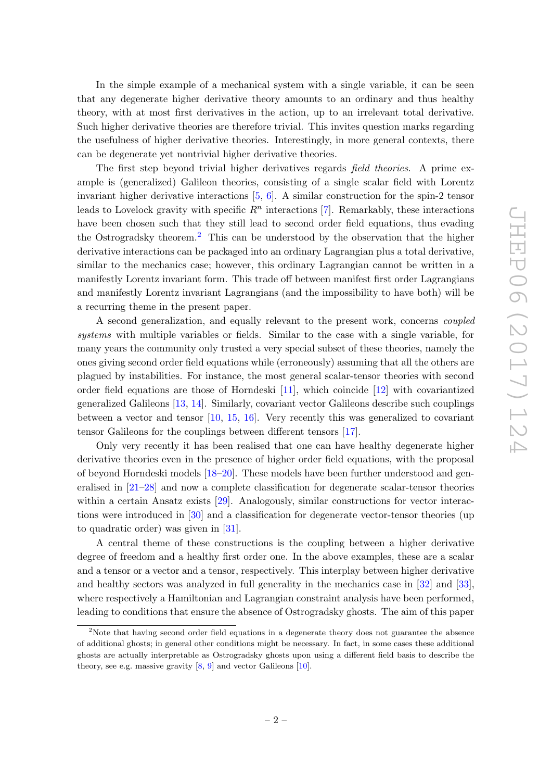In the simple example of a mechanical system with a single variable, it can be seen that any degenerate higher derivative theory amounts to an ordinary and thus healthy theory, with at most first derivatives in the action, up to an irrelevant total derivative. Such higher derivative theories are therefore trivial. This invites question marks regarding the usefulness of higher derivative theories. Interestingly, in more general contexts, there can be degenerate yet nontrivial higher derivative theories.

The first step beyond trivial higher derivatives regards field theories. A prime example is (generalized) Galileon theories, consisting of a single scalar field with Lorentz invariant higher derivative interactions [\[5,](#page-25-4) [6\]](#page-25-5). A similar construction for the spin-2 tensor leads to Lovelock gravity with specific  $R<sup>n</sup>$  interactions [\[7\]](#page-25-6). Remarkably, these interactions have been chosen such that they still lead to second order field equations, thus evading the Ostrogradsky theorem.<sup>[2](#page-2-0)</sup> This can be understood by the observation that the higher derivative interactions can be packaged into an ordinary Lagrangian plus a total derivative, similar to the mechanics case; however, this ordinary Lagrangian cannot be written in a manifestly Lorentz invariant form. This trade off between manifest first order Lagrangians and manifestly Lorentz invariant Lagrangians (and the impossibility to have both) will be a recurring theme in the present paper.

A second generalization, and equally relevant to the present work, concerns coupled systems with multiple variables or fields. Similar to the case with a single variable, for many years the community only trusted a very special subset of these theories, namely the ones giving second order field equations while (erroneously) assuming that all the others are plagued by instabilities. For instance, the most general scalar-tensor theories with second order field equations are those of Horndeski [\[11\]](#page-26-0), which coincide [\[12\]](#page-26-1) with covariantized generalized Galileons [\[13,](#page-26-2) [14\]](#page-26-3). Similarly, covariant vector Galileons describe such couplings between a vector and tensor [\[10,](#page-26-4) [15,](#page-26-5) [16\]](#page-26-6). Very recently this was generalized to covariant tensor Galileons for the couplings between different tensors [\[17\]](#page-26-7).

Only very recently it has been realised that one can have healthy degenerate higher derivative theories even in the presence of higher order field equations, with the proposal of beyond Horndeski models [\[18](#page-26-8)[–20\]](#page-26-9). These models have been further understood and generalised in [\[21](#page-26-10)[–28\]](#page-26-11) and now a complete classification for degenerate scalar-tensor theories within a certain Ansatz exists [\[29\]](#page-27-0). Analogously, similar constructions for vector interactions were introduced in [\[30\]](#page-27-1) and a classification for degenerate vector-tensor theories (up to quadratic order) was given in [\[31\]](#page-27-2).

A central theme of these constructions is the coupling between a higher derivative degree of freedom and a healthy first order one. In the above examples, these are a scalar and a tensor or a vector and a tensor, respectively. This interplay between higher derivative and healthy sectors was analyzed in full generality in the mechanics case in [\[32\]](#page-27-3) and [\[33\]](#page-27-4), where respectively a Hamiltonian and Lagrangian constraint analysis have been performed, leading to conditions that ensure the absence of Ostrogradsky ghosts. The aim of this paper

<span id="page-2-0"></span><sup>&</sup>lt;sup>2</sup>Note that having second order field equations in a degenerate theory does not guarantee the absence of additional ghosts; in general other conditions might be necessary. In fact, in some cases these additional ghosts are actually interpretable as Ostrogradsky ghosts upon using a different field basis to describe the theory, see e.g. massive gravity [\[8,](#page-25-7) [9\]](#page-25-8) and vector Galileons [\[10\]](#page-26-4).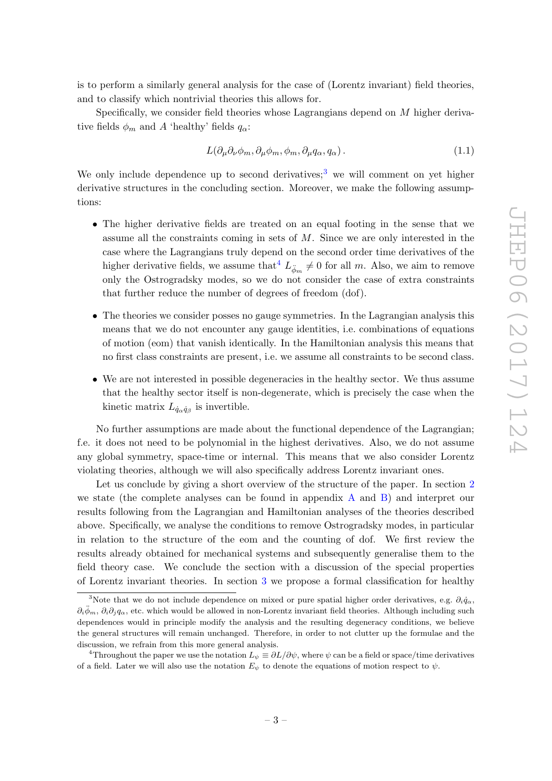is to perform a similarly general analysis for the case of (Lorentz invariant) field theories, and to classify which nontrivial theories this allows for.

Specifically, we consider field theories whose Lagrangians depend on M higher derivative fields  $\phi_m$  and A 'healthy' fields  $q_\alpha$ :

<span id="page-3-2"></span>
$$
L(\partial_{\mu}\partial_{\nu}\phi_m, \partial_{\mu}\phi_m, \phi_m, \partial_{\mu}q_{\alpha}, q_{\alpha}). \qquad (1.1)
$$

We only include dependence up to second derivatives;<sup>[3](#page-3-0)</sup> we will comment on yet higher derivative structures in the concluding section. Moreover, we make the following assumptions:

- The higher derivative fields are treated on an equal footing in the sense that we assume all the constraints coming in sets of  $M$ . Since we are only interested in the case where the Lagrangians truly depend on the second order time derivatives of the higher derivative fields, we assume that  $L_{\phi_m} \neq 0$  for all m. Also, we aim to remove only the Ostrogradsky modes, so we do not consider the case of extra constraints that further reduce the number of degrees of freedom (dof).
- The theories we consider posses no gauge symmetries. In the Lagrangian analysis this means that we do not encounter any gauge identities, i.e. combinations of equations of motion (eom) that vanish identically. In the Hamiltonian analysis this means that no first class constraints are present, i.e. we assume all constraints to be second class.
- We are not interested in possible degeneracies in the healthy sector. We thus assume that the healthy sector itself is non-degenerate, which is precisely the case when the kinetic matrix  $L_{\dot{q}_\alpha \dot{q}_\beta}$  is invertible.

No further assumptions are made about the functional dependence of the Lagrangian; f.e. it does not need to be polynomial in the highest derivatives. Also, we do not assume any global symmetry, space-time or internal. This means that we also consider Lorentz violating theories, although we will also specifically address Lorentz invariant ones.

Let us conclude by giving a short overview of the structure of the paper. In section [2](#page-4-0) we state (the complete analyses can be found in appendix [A](#page-15-0) and [B\)](#page-18-0) and interpret our results following from the Lagrangian and Hamiltonian analyses of the theories described above. Specifically, we analyse the conditions to remove Ostrogradsky modes, in particular in relation to the structure of the eom and the counting of dof. We first review the results already obtained for mechanical systems and subsequently generalise them to the field theory case. We conclude the section with a discussion of the special properties of Lorentz invariant theories. In section [3](#page-9-0) we propose a formal classification for healthy

<span id="page-3-0"></span><sup>&</sup>lt;sup>3</sup>Note that we do not include dependence on mixed or pure spatial higher order derivatives, e.g.  $\partial_i \dot{q}_{\alpha}$ ,  $\partial_i \phi_m$ ,  $\partial_i \partial_j q_\alpha$ , etc. which would be allowed in non-Lorentz invariant field theories. Although including such dependences would in principle modify the analysis and the resulting degeneracy conditions, we believe the general structures will remain unchanged. Therefore, in order to not clutter up the formulae and the discussion, we refrain from this more general analysis.

<span id="page-3-1"></span><sup>&</sup>lt;sup>4</sup>Throughout the paper we use the notation  $L_{\psi} \equiv \partial L/\partial \psi$ , where  $\psi$  can be a field or space/time derivatives of a field. Later we will also use the notation  $E_{\psi}$  to denote the equations of motion respect to  $\psi$ .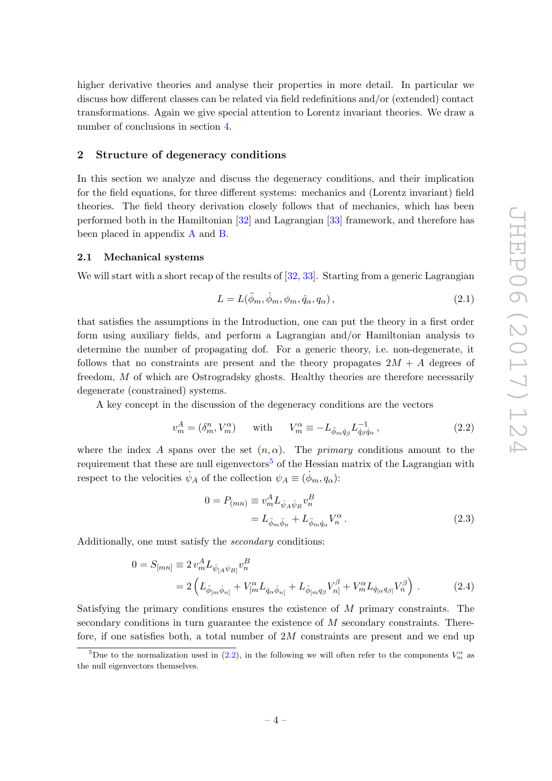higher derivative theories and analyse their properties in more detail. In particular we discuss how different classes can be related via field redefinitions and/or (extended) contact transformations. Again we give special attention to Lorentz invariant theories. We draw a number of conclusions in section [4.](#page-14-0)

#### <span id="page-4-0"></span>2 Structure of degeneracy conditions

In this section we analyze and discuss the degeneracy conditions, and their implication for the field equations, for three different systems: mechanics and (Lorentz invariant) field theories. The field theory derivation closely follows that of mechanics, which has been performed both in the Hamiltonian [\[32\]](#page-27-3) and Lagrangian [\[33\]](#page-27-4) framework, and therefore has been placed in appendix [A](#page-15-0) and [B.](#page-18-0)

#### <span id="page-4-1"></span>2.1 Mechanical systems

We will start with a short recap of the results of [\[32,](#page-27-3) [33\]](#page-27-4). Starting from a generic Lagrangian

$$
L = L(\ddot{\phi}_m, \dot{\phi}_m, \phi_m, \dot{q}_\alpha, q_\alpha), \qquad (2.1)
$$

that satisfies the assumptions in the Introduction, one can put the theory in a first order form using auxiliary fields, and perform a Lagrangian and/or Hamiltonian analysis to determine the number of propagating dof. For a generic theory, i.e. non-degenerate, it follows that no constraints are present and the theory propagates  $2M + A$  degrees of freedom, M of which are Ostrogradsky ghosts. Healthy theories are therefore necessarily degenerate (constrained) systems.

A key concept in the discussion of the degeneracy conditions are the vectors

<span id="page-4-3"></span>
$$
v_m^A = (\delta_m^n, V_m^\alpha) \qquad \text{with} \qquad V_m^\alpha \equiv -L_{\ddot{\phi}_m \dot{q}_\beta} L_{\dot{q}_\beta \dot{q}_\alpha}^{-1}, \tag{2.2}
$$

where the index A spans over the set  $(n, \alpha)$ . The *primary* conditions amount to the requirement that these are null eigenvectors<sup>[5](#page-4-2)</sup> of the Hessian matrix of the Lagrangian with respect to the velocities  $\psi_A$  of the collection  $\psi_A \equiv (\phi_m, q_\alpha)$ :

$$
0 = P_{(mn)} \equiv v_m^A L_{\dot{\psi}_A \dot{\psi}_B} v_n^B
$$
  
=  $L_{\ddot{\phi}_m \ddot{\phi}_n} + L_{\ddot{\phi}_m \dot{q}_\alpha} V_n^\alpha$ . (2.3)

Additionally, one must satisfy the secondary conditions:

$$
0 = S_{[mn]} \equiv 2 v_m^A L_{\dot{\psi}_{[A}\psi_{B]}} v_n^B
$$
  
= 
$$
2 \left( L_{\ddot{\phi}_{[m}\dot{\phi}_{n]}} + V_{[m}^\alpha L_{\dot{q}_\alpha\dot{\phi}_{n]}} + L_{\ddot{\phi}_{[m}q_\beta} V_{n]}^\beta + V_m^\alpha L_{\dot{q}_{[\alpha}q_{\beta]}} V_n^\beta \right).
$$
 (2.4)

Satisfying the primary conditions ensures the existence of M primary constraints. The secondary conditions in turn guarantee the existence of M secondary constraints. Therefore, if one satisfies both, a total number of  $2M$  constraints are present and we end up

<span id="page-4-2"></span><sup>&</sup>lt;sup>5</sup>Due to the normalization used in [\(2.2\)](#page-4-3), in the following we will often refer to the components  $V_m^{\alpha}$  as the null eigenvectors themselves.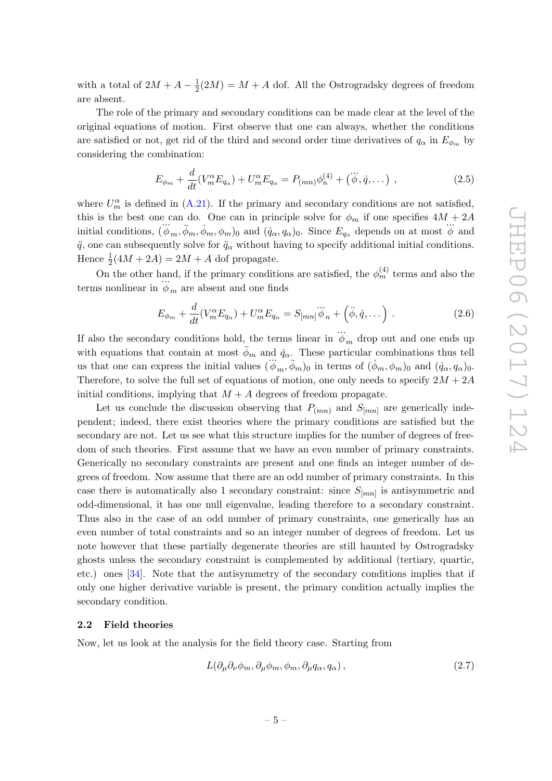with a total of  $2M + A - \frac{1}{2}$  $\frac{1}{2}(2M) = M + A$  dof. All the Ostrogradsky degrees of freedom are absent.

The role of the primary and secondary conditions can be made clear at the level of the original equations of motion. First observe that one can always, whether the conditions are satisfied or not, get rid of the third and second order time derivatives of  $q_{\alpha}$  in  $E_{\phi_m}$  by considering the combination:

$$
E_{\phi_m} + \frac{d}{dt}(V_m^{\alpha} E_{q_{\alpha}}) + U_m^{\alpha} E_{q_{\alpha}} = P_{(mn)}\phi_n^{(4)} + (\ddot{\phi}, \dot{q}, \dots) ,
$$
 (2.5)

where  $U_m^{\alpha}$  is defined in [\(A.21\)](#page-18-2). If the primary and secondary conditions are not satisfied, this is the best one can do. One can in principle solve for  $\phi_m$  if one specifies  $4M + 2A$ initial conditions,  $(\ddot{\phi}_m, \ddot{\phi}_m, \dot{\phi}_m, \phi_m)_0$  and  $(\dot{q}_\alpha, q_\alpha)_0$ . Since  $E_{q_\alpha}$  depends on at most  $\dddot{\phi}$  and  $\ddot{q}$ , one can subsequently solve for  $\ddot{q}_{\alpha}$  without having to specify additional initial conditions. Hence  $\frac{1}{2}(4M + 2A) = 2M + A$  dof propagate.

On the other hand, if the primary conditions are satisfied, the  $\phi_m^{(4)}$  terms and also the terms nonlinear in  $\phi_m$  are absent and one finds

$$
E_{\phi_m} + \frac{d}{dt}(V_m^{\alpha} E_{q_{\alpha}}) + U_m^{\alpha} E_{q_{\alpha}} = S_{[mn]} \ddot{\phi}_n + (\ddot{\phi}, \dot{q}, \dots) \tag{2.6}
$$

If also the secondary conditions hold, the terms linear in  $\phi_m$  drop out and one ends up with equations that contain at most  $\phi_m$  and  $\dot{q}_\alpha$ . These particular combinations thus tell us that one can express the initial values  $(\ddot{\phi}_m, \ddot{\phi}_m)_0$  in terms of  $(\dot{\phi}_m, \phi_m)_0$  and  $(\dot{q}_\alpha, q_\alpha)_0$ . Therefore, to solve the full set of equations of motion, one only needs to specify  $2M + 2A$ initial conditions, implying that  $M + A$  degrees of freedom propagate.

Let us conclude the discussion observing that  $P_{(mn)}$  and  $S_{[mn]}$  are generically independent; indeed, there exist theories where the primary conditions are satisfied but the secondary are not. Let us see what this structure implies for the number of degrees of freedom of such theories. First assume that we have an even number of primary constraints. Generically no secondary constraints are present and one finds an integer number of degrees of freedom. Now assume that there are an odd number of primary constraints. In this case there is automatically also 1 secondary constraint: since  $S_{[mn]}$  is antisymmetric and odd-dimensional, it has one null eigenvalue, leading therefore to a secondary constraint. Thus also in the case of an odd number of primary constraints, one generically has an even number of total constraints and so an integer number of degrees of freedom. Let us note however that these partially degenerate theories are still haunted by Ostrogradsky ghosts unless the secondary constraint is complemented by additional (tertiary, quartic, etc.) ones [\[34\]](#page-27-5). Note that the antisymmetry of the secondary conditions implies that if only one higher derivative variable is present, the primary condition actually implies the secondary condition.

#### <span id="page-5-0"></span>2.2 Field theories

Now, let us look at the analysis for the field theory case. Starting from

$$
L(\partial_{\mu}\partial_{\nu}\phi_m, \partial_{\mu}\phi_m, \phi_m, \partial_{\mu}q_{\alpha}, q_{\alpha}), \qquad (2.7)
$$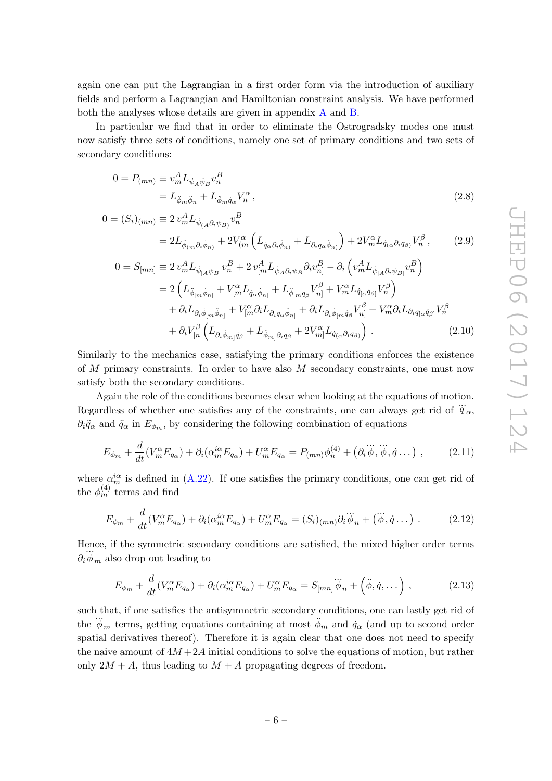again one can put the Lagrangian in a first order form via the introduction of auxiliary fields and perform a Lagrangian and Hamiltonian constraint analysis. We have performed both the analyses whose details are given in appendix [A](#page-15-0) and [B.](#page-18-0)

In particular we find that in order to eliminate the Ostrogradsky modes one must now satisfy three sets of conditions, namely one set of primary conditions and two sets of secondary conditions:

<span id="page-6-0"></span>
$$
0 = P_{(mn)} \equiv v_m^A L_{\dot{\psi}_A \dot{\psi}_B} v_n^B
$$
  
=  $L_{\ddot{\phi}_m \ddot{\phi}_n} + L_{\ddot{\phi}_m \dot{q}_\alpha} V_n^\alpha$ , (2.8)

$$
0 = (S_i)_{(mn)} \equiv 2 v_m^A L_{\dot{\psi}_{(A}\partial_i \psi_{B)}} v_n^B
$$
  
= 
$$
2L_{\ddot{\phi}_{(m}\partial_i \dot{\phi}_n)} + 2V_{(m}^{\alpha} \left( L_{\dot{q}_\alpha \partial_i \dot{\phi}_n)} + L_{\partial_i q_\alpha \ddot{\phi}_n} \right) + 2V_m^{\alpha} L_{\dot{q}_{(\alpha} \partial_i q_\beta)} V_n^{\beta},
$$
 (2.9)

<span id="page-6-2"></span><span id="page-6-1"></span>
$$
0 = S_{[mn]} \equiv 2 v_m^A L_{\dot{\psi}_{[A}\psi_{B]}} v_n^B + 2 v_m^A L_{\dot{\psi}_A \partial_i \psi_B} \partial_i v_n^B - \partial_i \left( v_m^A L_{\dot{\psi}_{[A}\partial_i \psi_{B]}} v_n^B \right)
$$
  
\n
$$
= 2 \left( L_{\ddot{\phi}_{[m}\dot{\phi}_{n]}} + V_m^{\alpha} L_{\dot{q}_{\alpha}\dot{\phi}_{n]}} + L_{\ddot{\phi}_{[m}q_{\beta}} V_n^{\beta} + V_m^{\alpha} L_{\dot{q}_{[\alpha}q_{\beta]}} V_n^{\beta} \right)
$$
  
\n
$$
+ \partial_i L_{\partial_i \dot{\phi}_{[m}\ddot{\phi}_{n]}} + V_m^{\alpha} \partial_i L_{\partial_i q_{\alpha}\ddot{\phi}_{n]}} + \partial_i L_{\partial_i \dot{\phi}_{[m}\dot{q}_{\beta}} V_n^{\beta} + V_m^{\alpha} \partial_i L_{\partial_i q_{[\alpha}\dot{q}_{\beta]}} V_n^{\beta}
$$
  
\n
$$
+ \partial_i V_m^{\beta} \left( L_{\partial_i \dot{\phi}_{m]}\dot{q}_{\beta}} + L_{\ddot{\phi}_{m]}\partial_i q_{\beta}} + 2 V_m^{\alpha} L_{\dot{q}_{(\alpha}\partial_i q_{\beta)}} \right) .
$$
\n(2.10)

Similarly to the mechanics case, satisfying the primary conditions enforces the existence of M primary constraints. In order to have also M secondary constraints, one must now satisfy both the secondary conditions.

Again the role of the conditions becomes clear when looking at the equations of motion. Regardless of whether one satisfies any of the constraints, one can always get rid of  $\dddot{q}_{\alpha}$ ,  $\partial_i \ddot{q}_\alpha$  and  $\ddot{q}_\alpha$  in  $E_{\phi_m}$ , by considering the following combination of equations

$$
E_{\phi_m} + \frac{d}{dt}(V_m^{\alpha} E_{q_{\alpha}}) + \partial_i(\alpha_m^{i\alpha} E_{q_{\alpha}}) + U_m^{\alpha} E_{q_{\alpha}} = P_{(mn)}\phi_n^{(4)} + (\partial_i \ddot{\phi}, \ddot{\phi}, \dot{q} \dots) , \qquad (2.11)
$$

where  $\alpha_m^{i\alpha}$  is defined in [\(A.22\)](#page-18-3). If one satisfies the primary conditions, one can get rid of the  $\phi_m^{(4)}$  terms and find

$$
E_{\phi_m} + \frac{d}{dt}(V_m^{\alpha} E_{q_{\alpha}}) + \partial_i(\alpha_m^{i\alpha} E_{q_{\alpha}}) + U_m^{\alpha} E_{q_{\alpha}} = (S_i)_{(mn)} \partial_i \ddot{\phi}_n + (\ddot{\phi}, \dot{q} \dots) . \qquad (2.12)
$$

Hence, if the symmetric secondary conditions are satisfied, the mixed higher order terms  $\partial_i \phi_m$  also drop out leading to

$$
E_{\phi_m} + \frac{d}{dt}(V_m^{\alpha} E_{q_{\alpha}}) + \partial_i(\alpha_m^{i\alpha} E_{q_{\alpha}}) + U_m^{\alpha} E_{q_{\alpha}} = S_{[mn]} \ddot{\phi}_n + (\ddot{\phi}, \dot{q}, \dots) ,
$$
 (2.13)

such that, if one satisfies the antisymmetric secondary conditions, one can lastly get rid of the  $\phi_m$  terms, getting equations containing at most  $\phi_m$  and  $\dot{q}_\alpha$  (and up to second order spatial derivatives thereof). Therefore it is again clear that one does not need to specify the naive amount of  $4M + 2A$  initial conditions to solve the equations of motion, but rather only  $2M + A$ , thus leading to  $M + A$  propagating degrees of freedom.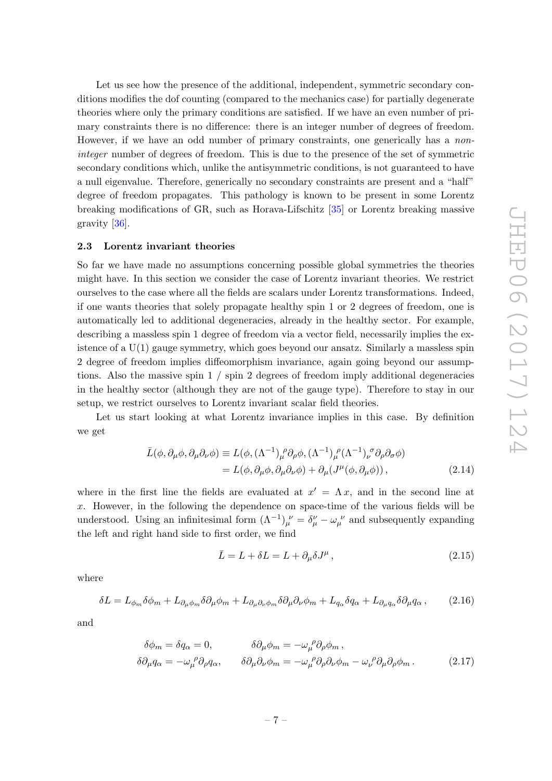Let us see how the presence of the additional, independent, symmetric secondary conditions modifies the dof counting (compared to the mechanics case) for partially degenerate theories where only the primary conditions are satisfied. If we have an even number of primary constraints there is no difference: there is an integer number of degrees of freedom. However, if we have an odd number of primary constraints, one generically has a *non*integer number of degrees of freedom. This is due to the presence of the set of symmetric secondary conditions which, unlike the antisymmetric conditions, is not guaranteed to have a null eigenvalue. Therefore, generically no secondary constraints are present and a "half" degree of freedom propagates. This pathology is known to be present in some Lorentz breaking modifications of GR, such as Horava-Lifschitz [\[35\]](#page-27-6) or Lorentz breaking massive gravity [\[36\]](#page-27-7).

#### <span id="page-7-0"></span>2.3 Lorentz invariant theories

So far we have made no assumptions concerning possible global symmetries the theories might have. In this section we consider the case of Lorentz invariant theories. We restrict ourselves to the case where all the fields are scalars under Lorentz transformations. Indeed, if one wants theories that solely propagate healthy spin 1 or 2 degrees of freedom, one is automatically led to additional degeneracies, already in the healthy sector. For example, describing a massless spin 1 degree of freedom via a vector field, necessarily implies the existence of a  $U(1)$  gauge symmetry, which goes beyond our ansatz. Similarly a massless spin 2 degree of freedom implies diffeomorphism invariance, again going beyond our assumptions. Also the massive spin 1 / spin 2 degrees of freedom imply additional degeneracies in the healthy sector (although they are not of the gauge type). Therefore to stay in our setup, we restrict ourselves to Lorentz invariant scalar field theories.

Let us start looking at what Lorentz invariance implies in this case. By definition we get

$$
\bar{L}(\phi, \partial_{\mu}\phi, \partial_{\mu}\partial_{\nu}\phi) \equiv L(\phi, (\Lambda^{-1})_{\mu}^{\rho} \partial_{\rho}\phi, (\Lambda^{-1})_{\mu}^{\rho} (\Lambda^{-1})_{\nu}^{\sigma} \partial_{\rho}\partial_{\sigma}\phi) \n= L(\phi, \partial_{\mu}\phi, \partial_{\mu}\partial_{\nu}\phi) + \partial_{\mu} (J^{\mu}(\phi, \partial_{\mu}\phi)),
$$
\n(2.14)

where in the first line the fields are evaluated at  $x' = \Lambda x$ , and in the second line at  $x$ . However, in the following the dependence on space-time of the various fields will be understood. Using an infinitesimal form  $(\Lambda^{-1})_{\mu}^{\nu} = \delta_{\mu}^{\nu} - \omega_{\mu}^{\ \nu}$  and subsequently expanding the left and right hand side to first order, we find

$$
\bar{L} = L + \delta L = L + \partial_{\mu} \delta J^{\mu}, \qquad (2.15)
$$

where

$$
\delta L = L_{\phi_m} \delta \phi_m + L_{\partial_\mu \phi_m} \delta \partial_\mu \phi_m + L_{\partial_\mu \partial_\nu \phi_m} \delta \partial_\mu \partial_\nu \phi_m + L_{q_\alpha} \delta q_\alpha + L_{\partial_\mu q_\alpha} \delta \partial_\mu q_\alpha ,\qquad(2.16)
$$

and

$$
\delta\phi_m = \delta q_\alpha = 0, \qquad \delta\partial_\mu \phi_m = -\omega_\mu^{\ \rho} \partial_\rho \phi_m ,
$$
  

$$
\delta\partial_\mu q_\alpha = -\omega_\mu^{\ \rho} \partial_\rho q_\alpha, \qquad \delta\partial_\mu \partial_\nu \phi_m = -\omega_\mu^{\ \rho} \partial_\rho \partial_\nu \phi_m - \omega_\nu^{\ \rho} \partial_\mu \partial_\rho \phi_m .
$$
 (2.17)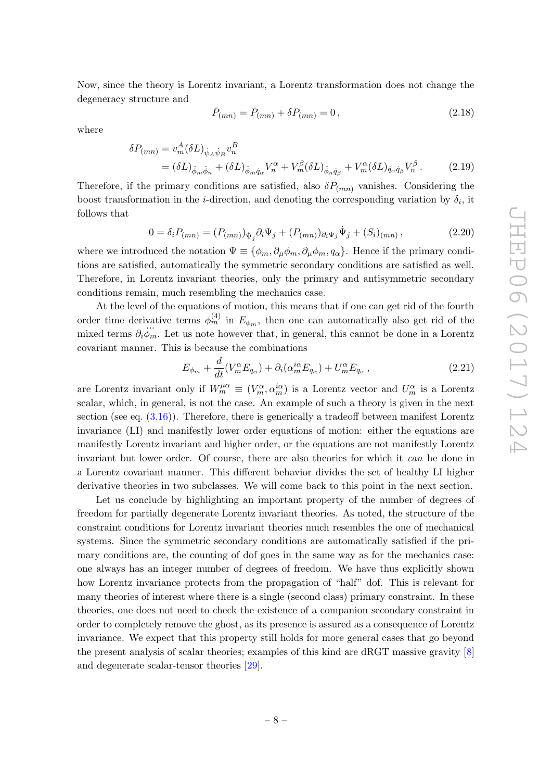Now, since the theory is Lorentz invariant, a Lorentz transformation does not change the degeneracy structure and

$$
\bar{P}_{(mn)} = P_{(mn)} + \delta P_{(mn)} = 0, \qquad (2.18)
$$

where

$$
\delta P_{(mn)} = v_m^A (\delta L)_{\dot{\psi}_A \dot{\psi}_B} v_n^B
$$
  
=  $(\delta L)_{\ddot{\phi}_m \ddot{\phi}_n} + (\delta L)_{\ddot{\phi}_m \dot{q}_\alpha} V_n^\alpha + V_m^\beta (\delta L)_{\ddot{\phi}_n \dot{q}_\beta} + V_m^\alpha (\delta L)_{\dot{q}_\alpha \dot{q}_\beta} V_n^\beta.$  (2.19)

Therefore, if the primary conditions are satisfied, also  $\delta P_{(mn)}$  vanishes. Considering the boost transformation in the *i*-direction, and denoting the corresponding variation by  $\delta_i$ , it follows that

$$
0 = \delta_i P_{(mn)} = (P_{(mn)})_{\dot{\Psi}_j} \partial_i \Psi_j + (P_{(mn)})_{\partial_i \Psi_j} \dot{\Psi}_j + (S_i)_{(mn)}, \qquad (2.20)
$$

where we introduced the notation  $\Psi \equiv {\phi_m, \partial_\mu \phi_m, \partial_\mu \phi_m, q_\alpha}$ . Hence if the primary conditions are satisfied, automatically the symmetric secondary conditions are satisfied as well. Therefore, in Lorentz invariant theories, only the primary and antisymmetric secondary conditions remain, much resembling the mechanics case.

At the level of the equations of motion, this means that if one can get rid of the fourth order time derivative terms  $\phi_m^{(4)}$  in  $E_{\phi_m}$ , then one can automatically also get rid of the mixed terms  $\partial_i \phi_m$ . Let us note however that, in general, this cannot be done in a Lorentz covariant manner. This is because the combinations

$$
E_{\phi_m} + \frac{d}{dt}(V_m^{\alpha} E_{q_{\alpha}}) + \partial_i(\alpha_m^{i\alpha} E_{q_{\alpha}}) + U_m^{\alpha} E_{q_{\alpha}}, \qquad (2.21)
$$

are Lorentz invariant only if  $W_m^{\mu\alpha} \equiv (V_m^\alpha, \alpha_m^{i\alpha})$  is a Lorentz vector and  $U_m^\alpha$  is a Lorentz scalar, which, in general, is not the case. An example of such a theory is given in the next section (see eq.  $(3.16)$ ). Therefore, there is generically a tradeoff between manifest Lorentz invariance (LI) and manifestly lower order equations of motion: either the equations are manifestly Lorentz invariant and higher order, or the equations are not manifestly Lorentz invariant but lower order. Of course, there are also theories for which it can be done in a Lorentz covariant manner. This different behavior divides the set of healthy LI higher derivative theories in two subclasses. We will come back to this point in the next section.

Let us conclude by highlighting an important property of the number of degrees of freedom for partially degenerate Lorentz invariant theories. As noted, the structure of the constraint conditions for Lorentz invariant theories much resembles the one of mechanical systems. Since the symmetric secondary conditions are automatically satisfied if the primary conditions are, the counting of dof goes in the same way as for the mechanics case: one always has an integer number of degrees of freedom. We have thus explicitly shown how Lorentz invariance protects from the propagation of "half" dof. This is relevant for many theories of interest where there is a single (second class) primary constraint. In these theories, one does not need to check the existence of a companion secondary constraint in order to completely remove the ghost, as its presence is assured as a consequence of Lorentz invariance. We expect that this property still holds for more general cases that go beyond the present analysis of scalar theories; examples of this kind are dRGT massive gravity [\[8\]](#page-25-7) and degenerate scalar-tensor theories [\[29\]](#page-27-0).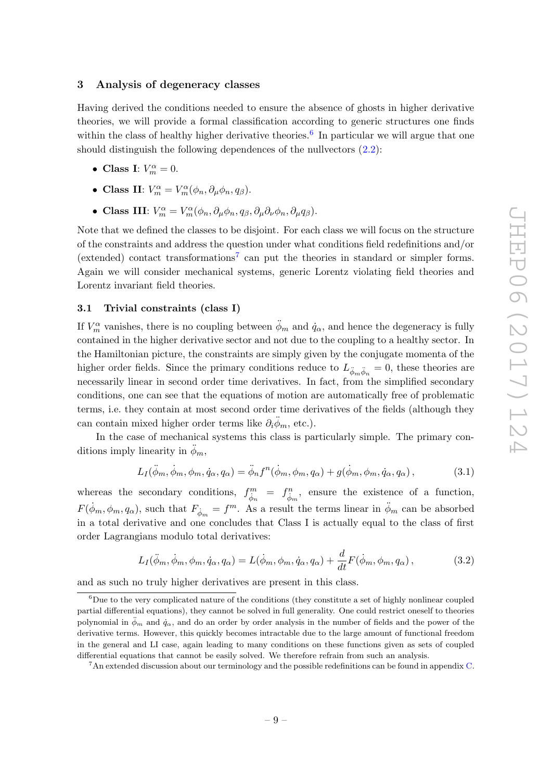## <span id="page-9-0"></span>3 Analysis of degeneracy classes

Having derived the conditions needed to ensure the absence of ghosts in higher derivative theories, we will provide a formal classification according to generic structures one finds within the class of healthy higher derivative theories.<sup>[6](#page-9-2)</sup> In particular we will argue that one should distinguish the following dependences of the nullvectors [\(2.2\)](#page-4-3):

- Class I:  $V_m^{\alpha} = 0$ .
- Class II:  $V_m^{\alpha} = V_m^{\alpha}(\phi_n, \partial_\mu \phi_n, q_\beta)$ .
- Class III:  $V_m^{\alpha} = V_m^{\alpha}(\phi_n, \partial_\mu \phi_n, q_\beta, \partial_\mu \partial_\nu \phi_n, \partial_\mu q_\beta)$ .

Note that we defined the classes to be disjoint. For each class we will focus on the structure of the constraints and address the question under what conditions field redefinitions and/or (extended) contact transformations<sup>[7](#page-9-3)</sup> can put the theories in standard or simpler forms. Again we will consider mechanical systems, generic Lorentz violating field theories and Lorentz invariant field theories.

## <span id="page-9-1"></span>3.1 Trivial constraints (class I)

If  $V_m^{\alpha}$  vanishes, there is no coupling between  $\ddot{\phi}_m$  and  $\dot{q}_\alpha$ , and hence the degeneracy is fully contained in the higher derivative sector and not due to the coupling to a healthy sector. In the Hamiltonian picture, the constraints are simply given by the conjugate momenta of the higher order fields. Since the primary conditions reduce to  $L_{\phi_m\ddot{\phi}_n} = 0$ , these theories are necessarily linear in second order time derivatives. In fact, from the simplified secondary conditions, one can see that the equations of motion are automatically free of problematic terms, i.e. they contain at most second order time derivatives of the fields (although they can contain mixed higher order terms like  $\partial_i \ddot{\phi}_m$ , etc.).

In the case of mechanical systems this class is particularly simple. The primary conditions imply linearity in  $\phi_m$ ,

$$
L_I(\ddot{\phi}_m, \dot{\phi}_m, \phi_m, \dot{q}_\alpha, q_\alpha) = \ddot{\phi}_n f^n(\dot{\phi}_m, \phi_m, q_\alpha) + g(\dot{\phi}_m, \phi_m, \dot{q}_\alpha, q_\alpha), \qquad (3.1)
$$

whereas the secondary conditions,  $f_{\dot{\phi}_n}^m = f_{\dot{\phi}_m}^n$ , ensure the existence of a function,  $F(\dot{\phi}_m, \phi_m, q_\alpha)$ , such that  $F_{\dot{\phi}_m} = f^m$ . As a result the terms linear in  $\ddot{\phi}_m$  can be absorbed in a total derivative and one concludes that Class I is actually equal to the class of first order Lagrangians modulo total derivatives:

$$
L_I(\ddot{\phi}_m, \dot{\phi}_m, \phi_m, \dot{q}_\alpha, q_\alpha) = L(\dot{\phi}_m, \phi_m, \dot{q}_\alpha, q_\alpha) + \frac{d}{dt} F(\dot{\phi}_m, \phi_m, q_\alpha) ,\qquad (3.2)
$$

and as such no truly higher derivatives are present in this class.

<span id="page-9-2"></span> ${}^{6}$ Due to the very complicated nature of the conditions (they constitute a set of highly nonlinear coupled partial differential equations), they cannot be solved in full generality. One could restrict oneself to theories polynomial in  $\phi_m$  and  $\dot{q}_\alpha$ , and do an order by order analysis in the number of fields and the power of the derivative terms. However, this quickly becomes intractable due to the large amount of functional freedom in the general and LI case, again leading to many conditions on these functions given as sets of coupled differential equations that cannot be easily solved. We therefore refrain from such an analysis.

<span id="page-9-3"></span><sup>7</sup>An extended discussion about our terminology and the possible redefinitions can be found in appendix [C.](#page-21-0)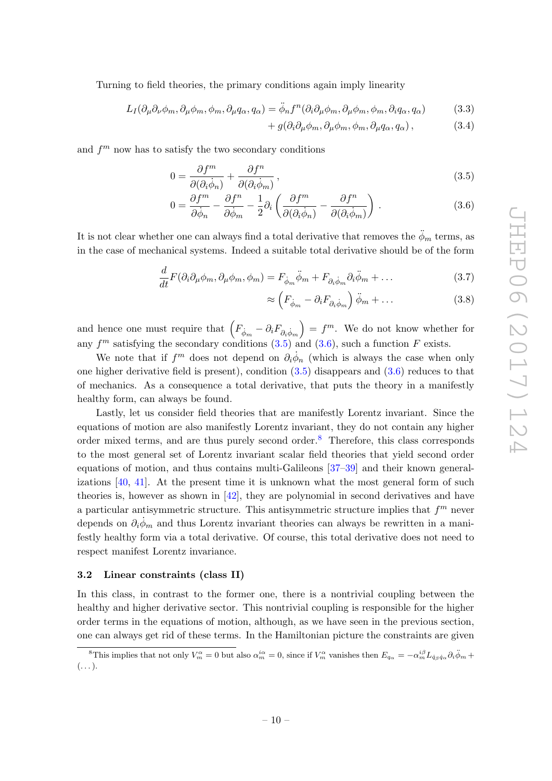Turning to field theories, the primary conditions again imply linearity

$$
L_I(\partial_\mu \partial_\nu \phi_m, \partial_\mu \phi_m, \phi_m, \partial_\mu q_\alpha, q_\alpha) = \ddot{\phi}_n f^n(\partial_i \partial_\mu \phi_m, \partial_\mu \phi_m, \phi_m, \partial_i q_\alpha, q_\alpha) \tag{3.3}
$$

<span id="page-10-2"></span><span id="page-10-1"></span>+ 
$$
g(\partial_i \partial_\mu \phi_m, \partial_\mu \phi_m, \phi_m, \partial_\mu q_\alpha, q_\alpha)
$$
, \t\t(3.4)

and  $f^m$  now has to satisfy the two secondary conditions

$$
0 = \frac{\partial f^m}{\partial(\partial_i \dot{\phi}_n)} + \frac{\partial f^n}{\partial(\partial_i \dot{\phi}_m)},
$$
\n(3.5)

$$
0 = \frac{\partial f^m}{\partial \dot{\phi}_n} - \frac{\partial f^n}{\partial \dot{\phi}_m} - \frac{1}{2} \partial_i \left( \frac{\partial f^m}{\partial (\partial_i \dot{\phi}_n)} - \frac{\partial f^n}{\partial (\partial_i \dot{\phi}_m)} \right).
$$
 (3.6)

It is not clear whether one can always find a total derivative that removes the  $\ddot{\phi}_m$  terms, as in the case of mechanical systems. Indeed a suitable total derivative should be of the form

$$
\frac{d}{dt}F(\partial_i\partial_\mu\phi_m, \partial_\mu\phi_m, \phi_m) = F_{\dot{\phi}_m}\ddot{\phi}_m + F_{\partial_i\dot{\phi}_m}\partial_i\ddot{\phi}_m + \dots \tag{3.7}
$$

$$
\approx \left( F_{\dot{\phi}_m} - \partial_i F_{\partial_i \dot{\phi}_m} \right) \ddot{\phi}_m + \dots \tag{3.8}
$$

and hence one must require that  $(F_{\dot{\phi}_m} - \partial_i F_{\partial_i \dot{\phi}_m}) = f^m$ . We do not know whether for any  $f^m$  satisfying the secondary conditions  $(3.5)$  and  $(3.6)$ , such a function F exists.

We note that if  $f^m$  does not depend on  $\partial_i \dot{\phi}_n$  (which is always the case when only one higher derivative field is present), condition [\(3.5\)](#page-10-1) disappears and [\(3.6\)](#page-10-2) reduces to that of mechanics. As a consequence a total derivative, that puts the theory in a manifestly healthy form, can always be found.

Lastly, let us consider field theories that are manifestly Lorentz invariant. Since the equations of motion are also manifestly Lorentz invariant, they do not contain any higher order mixed terms, and are thus purely second order.[8](#page-10-3) Therefore, this class corresponds to the most general set of Lorentz invariant scalar field theories that yield second order equations of motion, and thus contains multi-Galileons [\[37–](#page-27-8)[39\]](#page-27-9) and their known generalizations [\[40,](#page-27-10) [41\]](#page-27-11). At the present time it is unknown what the most general form of such theories is, however as shown in [\[42\]](#page-27-12), they are polynomial in second derivatives and have a particular antisymmetric structure. This antisymmetric structure implies that  $f<sup>m</sup>$  never depends on  $\partial_i \dot{\phi}_m$  and thus Lorentz invariant theories can always be rewritten in a manifestly healthy form via a total derivative. Of course, this total derivative does not need to respect manifest Lorentz invariance.

#### <span id="page-10-0"></span>3.2 Linear constraints (class II)

In this class, in contrast to the former one, there is a nontrivial coupling between the healthy and higher derivative sector. This nontrivial coupling is responsible for the higher order terms in the equations of motion, although, as we have seen in the previous section, one can always get rid of these terms. In the Hamiltonian picture the constraints are given

<span id="page-10-3"></span><sup>&</sup>lt;sup>8</sup>This implies that not only  $V_m^{\alpha} = 0$  but also  $\alpha_m^{i\alpha} = 0$ , since if  $V_m^{\alpha}$  vanishes then  $E_{q_{\alpha}} = -\alpha_m^{i\beta} L_{\dot{q}_{\beta} \dot{q}_{\alpha}} \partial_i \ddot{\phi}_m +$  $(\ldots).$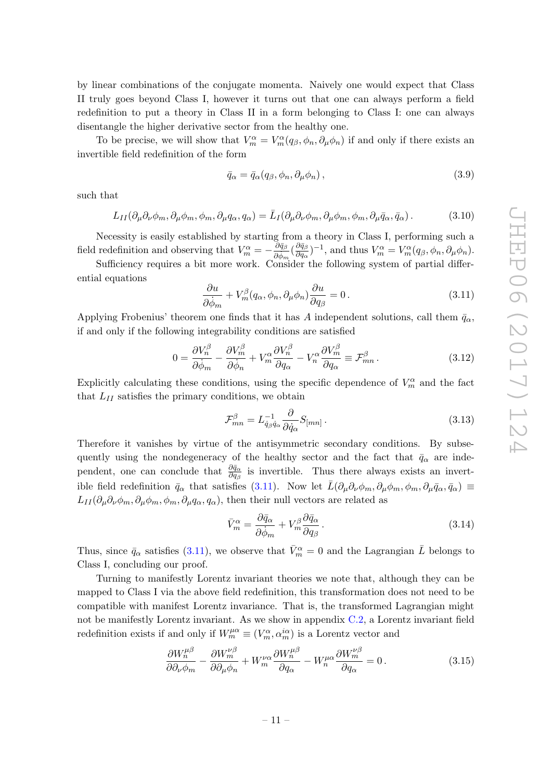by linear combinations of the conjugate momenta. Naively one would expect that Class II truly goes beyond Class I, however it turns out that one can always perform a field redefinition to put a theory in Class II in a form belonging to Class I: one can always disentangle the higher derivative sector from the healthy one.

To be precise, we will show that  $V_m^{\alpha} = V_m^{\alpha}(q_\beta, \phi_n, \partial_\mu \phi_n)$  if and only if there exists an invertible field redefinition of the form

$$
\bar{q}_{\alpha} = \bar{q}_{\alpha}(q_{\beta}, \phi_n, \partial_{\mu}\phi_n), \qquad (3.9)
$$

such that

$$
L_{II}(\partial_{\mu}\partial_{\nu}\phi_m, \partial_{\mu}\phi_m, \phi_m, \partial_{\mu}q_{\alpha}, q_{\alpha}) = \bar{L}_I(\partial_{\mu}\partial_{\nu}\phi_m, \partial_{\mu}\phi_m, \phi_m, \partial_{\mu}\bar{q}_{\alpha}, \bar{q}_{\alpha}).
$$
(3.10)

Necessity is easily established by starting from a theory in Class I, performing such a field redefinition and observing that  $V_m^{\alpha} = -\frac{\partial \bar{q}_{\beta}}{\partial \dot{\phi}_m}$  $\frac{\partial \bar{q}_{\beta}}{\partial \dot{\phi}_m}(\frac{\partial \bar{q}_{\beta}}{\partial q_{\alpha}}% )=0$  $\frac{\partial q_{\beta}}{\partial q_{\alpha}}$ , and thus  $V_m^{\alpha} = V_m^{\alpha}(q_{\beta}, \phi_n, \partial_{\mu} \phi_n)$ .

Sufficiency requires a bit more work. Consider the following system of partial differential equations

<span id="page-11-0"></span>
$$
\frac{\partial u}{\partial \dot{\phi}_m} + V_m^{\beta}(q_\alpha, \phi_n, \partial_\mu \phi_n) \frac{\partial u}{\partial q_\beta} = 0.
$$
\n(3.11)

Applying Frobenius' theorem one finds that it has A independent solutions, call them  $\bar{q}_{\alpha}$ , if and only if the following integrability conditions are satisfied

$$
0 = \frac{\partial V_n^{\beta}}{\partial \dot{\phi}_m} - \frac{\partial V_m^{\beta}}{\partial \dot{\phi}_n} + V_m^{\alpha} \frac{\partial V_n^{\beta}}{\partial q_{\alpha}} - V_n^{\alpha} \frac{\partial V_m^{\beta}}{\partial q_{\alpha}} \equiv \mathcal{F}_{mn}^{\beta}.
$$
 (3.12)

Explicitly calculating these conditions, using the specific dependence of  $V_m^{\alpha}$  and the fact that  $L_{II}$  satisfies the primary conditions, we obtain

$$
\mathcal{F}_{mn}^{\beta} = L_{\dot{q}_{\beta}\dot{q}_{\alpha}}^{-1} \frac{\partial}{\partial \dot{q}_{\alpha}} S_{[mn]} \,. \tag{3.13}
$$

Therefore it vanishes by virtue of the antisymmetric secondary conditions. By subsequently using the nondegeneracy of the healthy sector and the fact that  $\bar{q}_{\alpha}$  are independent, one can conclude that  $\frac{\partial \bar{q}_{\alpha}}{\partial q_{\beta}}$  is invertible. Thus there always exists an invertible field redefinition  $\bar{q}_{\alpha}$  that satisfies [\(3.11\)](#page-11-0). Now let  $\bar{L}(\partial_{\mu}\partial_{\nu}\phi_m, \partial_{\mu}\phi_m, \partial_{\mu}\bar{q}_{\alpha}, \bar{q}_{\alpha}) \equiv$  $L_{II}(\partial_{\mu}\partial_{\nu}\phi_m, \partial_{\mu}\phi_m, \phi_m, \partial_{\mu}q_{\alpha}, q_{\alpha})$ , then their null vectors are related as

$$
\bar{V}_m^{\alpha} = \frac{\partial \bar{q}_{\alpha}}{\partial \dot{\phi}_m} + V_m^{\beta} \frac{\partial \bar{q}_{\alpha}}{\partial q_{\beta}}.
$$
\n(3.14)

Thus, since  $\bar{q}_{\alpha}$  satisfies [\(3.11\)](#page-11-0), we observe that  $\bar{V}_{m}^{\alpha} = 0$  and the Lagrangian  $\bar{L}$  belongs to Class I, concluding our proof.

Turning to manifestly Lorentz invariant theories we note that, although they can be mapped to Class I via the above field redefinition, this transformation does not need to be compatible with manifest Lorentz invariance. That is, the transformed Lagrangian might not be manifestly Lorentz invariant. As we show in appendix [C.2,](#page-24-0) a Lorentz invariant field redefinition exists if and only if  $W_m^{\mu\alpha} \equiv (V_m^\alpha, \alpha_m^{i\alpha})$  is a Lorentz vector and

$$
\frac{\partial W_n^{\mu\beta}}{\partial \partial_\nu \phi_m} - \frac{\partial W_m^{\nu\beta}}{\partial \partial_\mu \phi_n} + W_m^{\nu\alpha} \frac{\partial W_n^{\mu\beta}}{\partial q_\alpha} - W_n^{\mu\alpha} \frac{\partial W_m^{\nu\beta}}{\partial q_\alpha} = 0. \tag{3.15}
$$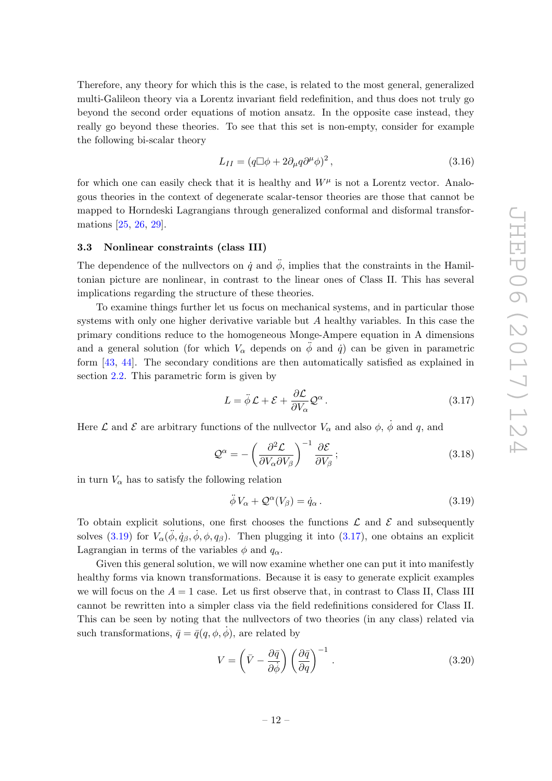Therefore, any theory for which this is the case, is related to the most general, generalized multi-Galileon theory via a Lorentz invariant field redefinition, and thus does not truly go beyond the second order equations of motion ansatz. In the opposite case instead, they really go beyond these theories. To see that this set is non-empty, consider for example the following bi-scalar theory

<span id="page-12-1"></span>
$$
L_{II} = (q\Box\phi + 2\partial_{\mu}q\partial^{\mu}\phi)^2, \qquad (3.16)
$$

for which one can easily check that it is healthy and  $W^{\mu}$  is not a Lorentz vector. Analogous theories in the context of degenerate scalar-tensor theories are those that cannot be mapped to Horndeski Lagrangians through generalized conformal and disformal transformations [\[25,](#page-26-12) [26,](#page-26-13) [29\]](#page-27-0).

#### <span id="page-12-0"></span>3.3 Nonlinear constraints (class III)

The dependence of the nullvectors on  $\dot{q}$  and  $\ddot{\phi}$ , implies that the constraints in the Hamiltonian picture are nonlinear, in contrast to the linear ones of Class II. This has several implications regarding the structure of these theories.

To examine things further let us focus on mechanical systems, and in particular those systems with only one higher derivative variable but A healthy variables. In this case the primary conditions reduce to the homogeneous Monge-Ampere equation in A dimensions and a general solution (for which  $V_{\alpha}$  depends on  $\ddot{\phi}$  and  $\dot{q}$ ) can be given in parametric form [\[43,](#page-27-13) [44\]](#page-27-14). The secondary conditions are then automatically satisfied as explained in section [2.2.](#page-5-0) This parametric form is given by

<span id="page-12-3"></span>
$$
L = \ddot{\phi} \mathcal{L} + \mathcal{E} + \frac{\partial \mathcal{L}}{\partial V_{\alpha}} \mathcal{Q}^{\alpha}.
$$
 (3.17)

Here  $\mathcal L$  and  $\mathcal E$  are arbitrary functions of the nullvector  $V_\alpha$  and also  $\phi$ ,  $\dot{\phi}$  and q, and

$$
\mathcal{Q}^{\alpha} = -\left(\frac{\partial^2 \mathcal{L}}{\partial V_{\alpha} \partial V_{\beta}}\right)^{-1} \frac{\partial \mathcal{E}}{\partial V_{\beta}}; \tag{3.18}
$$

in turn  $V_{\alpha}$  has to satisfy the following relation

<span id="page-12-2"></span>
$$
\ddot{\phi} V_{\alpha} + \mathcal{Q}^{\alpha}(V_{\beta}) = \dot{q}_{\alpha}.
$$
\n(3.19)

To obtain explicit solutions, one first chooses the functions  $\mathcal L$  and  $\mathcal E$  and subsequently solves [\(3.19\)](#page-12-2) for  $V_{\alpha}(\ddot{\phi}, \dot{q}_{\beta}, \dot{\phi}, \phi, q_{\beta})$ . Then plugging it into [\(3.17\)](#page-12-3), one obtains an explicit Lagrangian in terms of the variables  $\phi$  and  $q_{\alpha}$ .

Given this general solution, we will now examine whether one can put it into manifestly healthy forms via known transformations. Because it is easy to generate explicit examples we will focus on the  $A = 1$  case. Let us first observe that, in contrast to Class II, Class III cannot be rewritten into a simpler class via the field redefinitions considered for Class II. This can be seen by noting that the nullvectors of two theories (in any class) related via such transformations,  $\bar{q} = \bar{q}(q, \phi, \dot{\phi})$ , are related by

$$
V = \left(\bar{V} - \frac{\partial \bar{q}}{\partial \dot{\phi}}\right) \left(\frac{\partial \bar{q}}{\partial q}\right)^{-1}.
$$
 (3.20)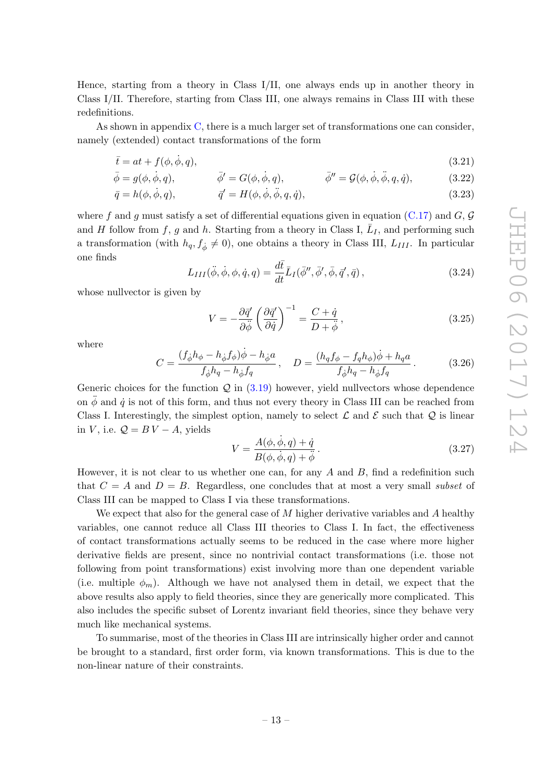Hence, starting from a theory in Class I/II, one always ends up in another theory in Class I/II. Therefore, starting from Class III, one always remains in Class III with these redefinitions.

As shown in appendix [C,](#page-21-0) there is a much larger set of transformations one can consider, namely (extended) contact transformations of the form

$$
\bar{t} = at + f(\phi, \dot{\phi}, q),\tag{3.21}
$$

$$
\bar{\phi} = g(\phi, \dot{\phi}, q), \qquad \bar{\phi}' = G(\phi, \dot{\phi}, q), \qquad \bar{\phi}'' = \mathcal{G}(\phi, \dot{\phi}, \ddot{\phi}, q, \dot{q}), \qquad (3.22)
$$

$$
\bar{q} = h(\phi, \dot{\phi}, q), \qquad \bar{q}' = H(\phi, \dot{\phi}, \ddot{\phi}, q, \dot{q}), \qquad (3.23)
$$

where f and g must satisfy a set of differential equations given in equation [\(C.17\)](#page-23-0) and  $G, \mathcal{G}$ and H follow from f, g and h. Starting from a theory in Class I,  $\overline{L}_I$ , and performing such a transformation (with  $h_q, f_{\phi} \neq 0$ ), one obtains a theory in Class III,  $L_{III}$ . In particular one finds

$$
L_{III}(\ddot{\phi}, \dot{\phi}, \phi, \dot{q}, q) = \frac{d\bar{t}}{dt} \bar{L}_I(\bar{\phi}^{\prime\prime}, \bar{\phi}^\prime, \bar{\phi}, \bar{q}^\prime, \bar{q}), \qquad (3.24)
$$

whose nullvector is given by

$$
V = -\frac{\partial \bar{q}'}{\partial \ddot{\phi}} \left( \frac{\partial \bar{q}'}{\partial \dot{q}} \right)^{-1} = \frac{C + \dot{q}}{D + \ddot{\phi}},
$$
\n(3.25)

where

$$
C = \frac{(f_{\dot{\phi}}h_{\phi} - h_{\dot{\phi}}f_{\phi})\dot{\phi} - h_{\dot{\phi}}a}{f_{\dot{\phi}}h_q - h_{\dot{\phi}}f_q}, \quad D = \frac{(h_qf_{\phi} - f_qh_{\phi})\dot{\phi} + h_qa}{f_{\dot{\phi}}h_q - h_{\dot{\phi}}f_q}.
$$
 (3.26)

Generic choices for the function  $Q$  in  $(3.19)$  however, yield nullvectors whose dependence on  $\ddot{\phi}$  and  $\dot{q}$  is not of this form, and thus not every theory in Class III can be reached from Class I. Interestingly, the simplest option, namely to select  $\mathcal L$  and  $\mathcal E$  such that  $\mathcal Q$  is linear in V, i.e.  $Q = BV - A$ , yields

$$
V = \frac{A(\phi, \dot{\phi}, q) + \dot{q}}{B(\phi, \dot{\phi}, q) + \ddot{\phi}}.
$$
\n(3.27)

However, it is not clear to us whether one can, for any  $A$  and  $B$ , find a redefinition such that  $C = A$  and  $D = B$ . Regardless, one concludes that at most a very small subset of Class III can be mapped to Class I via these transformations.

We expect that also for the general case of  $M$  higher derivative variables and  $A$  healthy variables, one cannot reduce all Class III theories to Class I. In fact, the effectiveness of contact transformations actually seems to be reduced in the case where more higher derivative fields are present, since no nontrivial contact transformations (i.e. those not following from point transformations) exist involving more than one dependent variable (i.e. multiple  $\phi_m$ ). Although we have not analysed them in detail, we expect that the above results also apply to field theories, since they are generically more complicated. This also includes the specific subset of Lorentz invariant field theories, since they behave very much like mechanical systems.

To summarise, most of the theories in Class III are intrinsically higher order and cannot be brought to a standard, first order form, via known transformations. This is due to the non-linear nature of their constraints.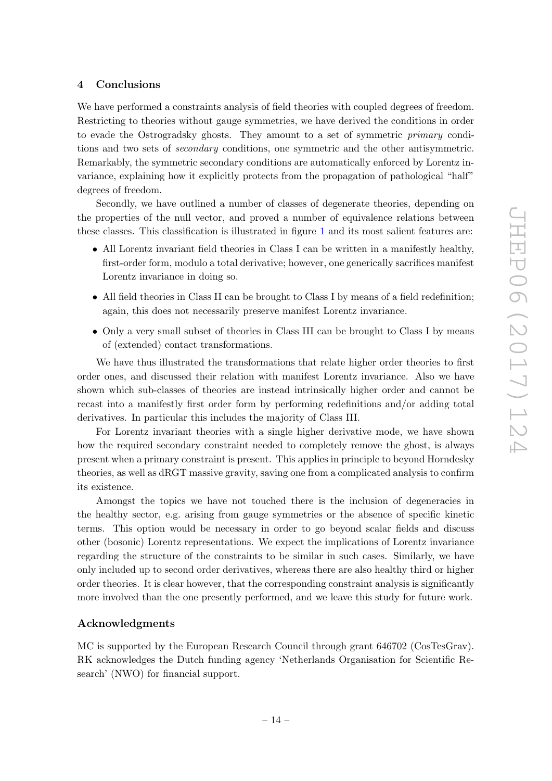## <span id="page-14-0"></span>4 Conclusions

We have performed a constraints analysis of field theories with coupled degrees of freedom. Restricting to theories without gauge symmetries, we have derived the conditions in order to evade the Ostrogradsky ghosts. They amount to a set of symmetric primary conditions and two sets of secondary conditions, one symmetric and the other antisymmetric. Remarkably, the symmetric secondary conditions are automatically enforced by Lorentz invariance, explaining how it explicitly protects from the propagation of pathological "half" degrees of freedom.

Secondly, we have outlined a number of classes of degenerate theories, depending on the properties of the null vector, and proved a number of equivalence relations between these classes. This classification is illustrated in figure [1](#page-15-1) and its most salient features are:

- All Lorentz invariant field theories in Class I can be written in a manifestly healthy, first-order form, modulo a total derivative; however, one generically sacrifices manifest Lorentz invariance in doing so.
- All field theories in Class II can be brought to Class I by means of a field redefinition; again, this does not necessarily preserve manifest Lorentz invariance.
- Only a very small subset of theories in Class III can be brought to Class I by means of (extended) contact transformations.

We have thus illustrated the transformations that relate higher order theories to first order ones, and discussed their relation with manifest Lorentz invariance. Also we have shown which sub-classes of theories are instead intrinsically higher order and cannot be recast into a manifestly first order form by performing redefinitions and/or adding total derivatives. In particular this includes the majority of Class III.

For Lorentz invariant theories with a single higher derivative mode, we have shown how the required secondary constraint needed to completely remove the ghost, is always present when a primary constraint is present. This applies in principle to beyond Horndesky theories, as well as dRGT massive gravity, saving one from a complicated analysis to confirm its existence.

Amongst the topics we have not touched there is the inclusion of degeneracies in the healthy sector, e.g. arising from gauge symmetries or the absence of specific kinetic terms. This option would be necessary in order to go beyond scalar fields and discuss other (bosonic) Lorentz representations. We expect the implications of Lorentz invariance regarding the structure of the constraints to be similar in such cases. Similarly, we have only included up to second order derivatives, whereas there are also healthy third or higher order theories. It is clear however, that the corresponding constraint analysis is significantly more involved than the one presently performed, and we leave this study for future work.

## Acknowledgments

MC is supported by the European Research Council through grant 646702 (CosTesGrav). RK acknowledges the Dutch funding agency 'Netherlands Organisation for Scientific Research' (NWO) for financial support.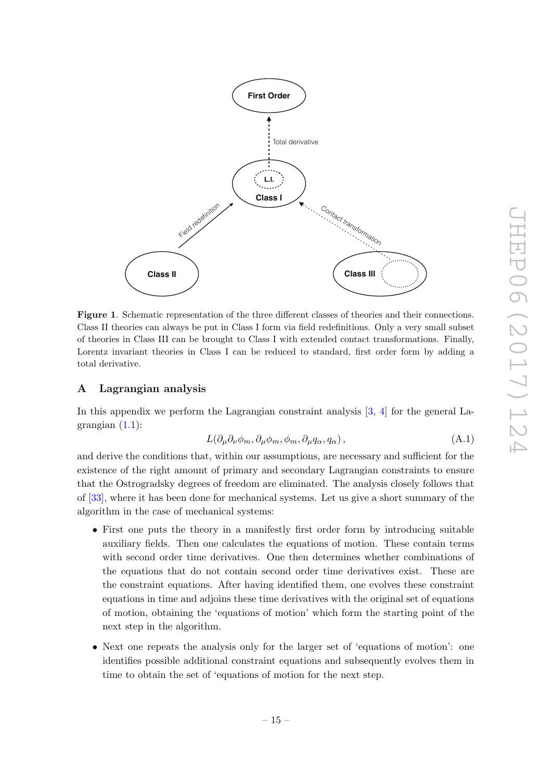

<span id="page-15-1"></span>Figure 1. Schematic representation of the three different classes of theories and their connections. Class II theories can always be put in Class I form via field redefinitions. Only a very small subset of theories in Class III can be brought to Class I with extended contact transformations. Finally, Lorentz invariant theories in Class I can be reduced to standard, first order form by adding a total derivative.

## <span id="page-15-0"></span>A Lagrangian analysis

In this appendix we perform the Lagrangian constraint analysis [\[3,](#page-25-2) [4\]](#page-25-3) for the general Lagrangian  $(1.1)$ :

$$
L(\partial_{\mu}\partial_{\nu}\phi_m, \partial_{\mu}\phi_m, \phi_m, \partial_{\mu}q_{\alpha}, q_{\alpha}), \qquad (A.1)
$$

and derive the conditions that, within our assumptions, are necessary and sufficient for the existence of the right amount of primary and secondary Lagrangian constraints to ensure that the Ostrogradsky degrees of freedom are eliminated. The analysis closely follows that of [\[33\]](#page-27-4), where it has been done for mechanical systems. Let us give a short summary of the algorithm in the case of mechanical systems:

- First one puts the theory in a manifestly first order form by introducing suitable auxiliary fields. Then one calculates the equations of motion. These contain terms with second order time derivatives. One then determines whether combinations of the equations that do not contain second order time derivatives exist. These are the constraint equations. After having identified them, one evolves these constraint equations in time and adjoins these time derivatives with the original set of equations of motion, obtaining the 'equations of motion' which form the starting point of the next step in the algorithm.
- Next one repeats the analysis only for the larger set of 'equations of motion': one identifies possible additional constraint equations and subsequently evolves them in time to obtain the set of 'equations of motion for the next step.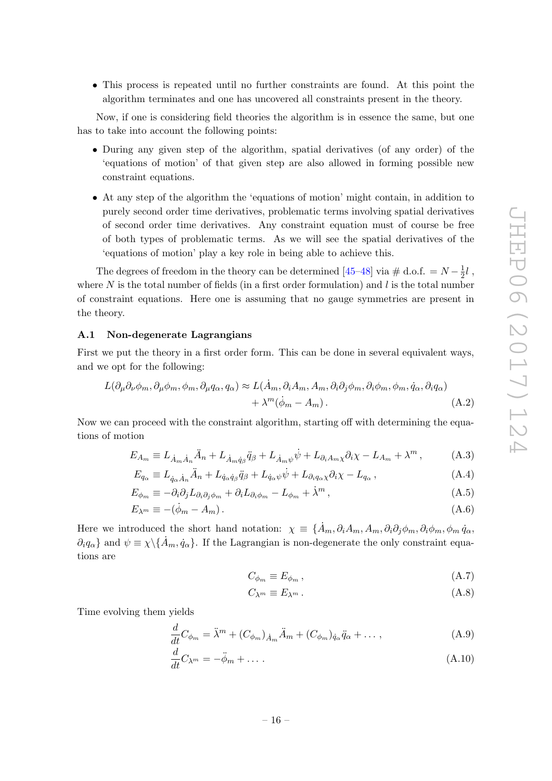• This process is repeated until no further constraints are found. At this point the algorithm terminates and one has uncovered all constraints present in the theory.

Now, if one is considering field theories the algorithm is in essence the same, but one has to take into account the following points:

- During any given step of the algorithm, spatial derivatives (of any order) of the 'equations of motion' of that given step are also allowed in forming possible new constraint equations.
- At any step of the algorithm the 'equations of motion' might contain, in addition to purely second order time derivatives, problematic terms involving spatial derivatives of second order time derivatives. Any constraint equation must of course be free of both types of problematic terms. As we will see the spatial derivatives of the 'equations of motion' play a key role in being able to achieve this.

The degrees of freedom in the theory can be determined [\[45](#page-27-15)[–48\]](#page-28-0) via  $\#$  d.o.f. =  $N-\frac{1}{2}$  $\frac{1}{2}l$ , where  $N$  is the total number of fields (in a first order formulation) and  $l$  is the total number of constraint equations. Here one is assuming that no gauge symmetries are present in the theory.

#### <span id="page-16-0"></span>A.1 Non-degenerate Lagrangians

First we put the theory in a first order form. This can be done in several equivalent ways, and we opt for the following:

$$
L(\partial_{\mu}\partial_{\nu}\phi_m, \partial_{\mu}\phi_m, \phi_m, \partial_{\mu}q_{\alpha}, q_{\alpha}) \approx L(\dot{A}_m, \partial_i A_m, A_m, \partial_i \partial_j \phi_m, \partial_i \phi_m, \phi_m, \dot{q}_{\alpha}, \partial_i q_{\alpha}) + \lambda^m(\dot{\phi}_m - A_m).
$$
\n(A.2)

Now we can proceed with the constraint algorithm, starting off with determining the equations of motion

$$
E_{A_m} \equiv L_{\dot{A}_m \dot{A}_n} \ddot{A}_n + L_{\dot{A}_m \dot{q}_\beta} \ddot{q}_\beta + L_{\dot{A}_m \psi} \dot{\psi} + L_{\partial_i A_m \chi} \partial_i \chi - L_{A_m} + \lambda^m, \tag{A.3}
$$

$$
E_{q_{\alpha}} \equiv L_{\dot{q}_{\alpha}\dot{A}_n}\ddot{A}_n + L_{\dot{q}_{\alpha}\dot{q}_{\beta}}\ddot{q}_{\beta} + L_{\dot{q}_{\alpha}\psi}\dot{\psi} + L_{\partial_i q_{\alpha}\chi}\partial_i\chi - L_{q_{\alpha}}\,,\tag{A.4}
$$

$$
E_{\phi_m} \equiv -\partial_i \partial_j L_{\partial_i \partial_j \phi_m} + \partial_i L_{\partial_i \phi_m} - L_{\phi_m} + \dot{\lambda}^m , \qquad (A.5)
$$

$$
E_{\lambda^m} \equiv -(\dot{\phi}_m - A_m). \tag{A.6}
$$

Here we introduced the short hand notation:  $\chi \equiv {\{\dot{A}_m, \partial_i A_m, A_m, \partial_i \partial_j \phi_m, \partial_i \phi_m, \phi_m \phi_\alpha\}}$  $\partial_i q_\alpha$  and  $\psi \equiv \chi \setminus {\hat{A}_m, \hat{q}_\alpha}$ . If the Lagrangian is non-degenerate the only constraint equations are

$$
C_{\phi_m} \equiv E_{\phi_m} \,,\tag{A.7}
$$

$$
C_{\lambda^m} \equiv E_{\lambda^m} \,. \tag{A.8}
$$

Time evolving them yields

$$
\frac{d}{dt}C_{\phi_m} = \ddot{\lambda}^m + (C_{\phi_m})_{\dot{A}_m}\ddot{A}_m + (C_{\phi_m})_{\dot{q}_\alpha}\ddot{q}_\alpha + \dots,\tag{A.9}
$$

$$
\frac{d}{dt}C_{\lambda^m} = -\ddot{\phi}_m + \dots \tag{A.10}
$$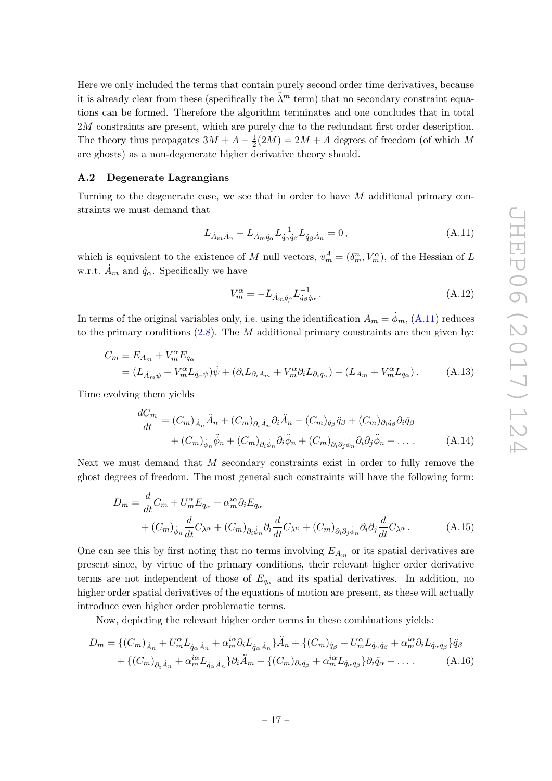Here we only included the terms that contain purely second order time derivatives, because it is already clear from these (specifically the  $\lambda^{m}$  term) that no secondary constraint equations can be formed. Therefore the algorithm terminates and one concludes that in total 2M constraints are present, which are purely due to the redundant first order description. The theory thus propagates  $3M + A - \frac{1}{2}$  $\frac{1}{2}(2M) = 2M + A$  degrees of freedom (of which M are ghosts) as a non-degenerate higher derivative theory should.

## <span id="page-17-0"></span>A.2 Degenerate Lagrangians

Turning to the degenerate case, we see that in order to have M additional primary constraints we must demand that

<span id="page-17-1"></span>
$$
L_{\dot{A}_m \dot{A}_n} - L_{\dot{A}_m \dot{q}_\alpha} L_{\dot{q}_\alpha \dot{q}_\beta}^{-1} L_{\dot{q}_\beta \dot{A}_n} = 0, \qquad (A.11)
$$

which is equivalent to the existence of M null vectors,  $v_m^A = (\delta_m^n, V_m^\alpha)$ , of the Hessian of L w.r.t.  $\dot{A}_m$  and  $\dot{q}_\alpha$ . Specifically we have

$$
V_m^{\alpha} = -L_{\dot{A}_m \dot{q}_\beta} L_{\dot{q}_\beta \dot{q}_\alpha}^{-1} . \tag{A.12}
$$

In terms of the original variables only, i.e. using the identification  $A_m = \phi_m$ , [\(A.11\)](#page-17-1) reduces to the primary conditions  $(2.8)$ . The M additional primary constraints are then given by:

$$
C_m \equiv E_{A_m} + V_m^{\alpha} E_{q_{\alpha}}
$$
  
=  $(L_{\dot{A}_m\psi} + V_m^{\alpha} L_{\dot{q}_{\alpha}\psi})\dot{\psi} + (\partial_i L_{\partial_i A_m} + V_m^{\alpha} \partial_i L_{\partial_i q_{\alpha}}) - (L_{A_m} + V_m^{\alpha} L_{q_{\alpha}}).$  (A.13)

Time evolving them yields

$$
\frac{dC_m}{dt} = (C_m)_{\dot{A}_n} \ddot{A}_n + (C_m)_{\partial_i \dot{A}_n} \partial_i \ddot{A}_n + (C_m)_{\dot{q}_\beta} \ddot{q}_\beta + (C_m)_{\partial_i \dot{q}_\beta} \partial_i \ddot{q}_\beta \n+ (C_m)_{\dot{\phi}_n} \ddot{\phi}_n + (C_m)_{\partial_i \dot{\phi}_n} \partial_i \ddot{\phi}_n + (C_m)_{\partial_i \partial_j \dot{\phi}_n} \partial_i \partial_j \ddot{\phi}_n + \dots
$$
\n(A.14)

Next we must demand that M secondary constraints exist in order to fully remove the ghost degrees of freedom. The most general such constraints will have the following form:

$$
D_m = \frac{d}{dt} C_m + U_m^{\alpha} E_{q_{\alpha}} + \alpha_m^{i\alpha} \partial_i E_{q_{\alpha}}
$$
  
+ 
$$
(C_m)_{\dot{\phi}_n} \frac{d}{dt} C_{\lambda^n} + (C_m)_{\partial_i \dot{\phi}_n} \partial_i \frac{d}{dt} C_{\lambda^n} + (C_m)_{\partial_i \partial_j \dot{\phi}_n} \partial_i \partial_j \frac{d}{dt} C_{\lambda^n} .
$$
 (A.15)

One can see this by first noting that no terms involving  $E_{A_m}$  or its spatial derivatives are present since, by virtue of the primary conditions, their relevant higher order derivative terms are not independent of those of  $E_{q_{\alpha}}$  and its spatial derivatives. In addition, no higher order spatial derivatives of the equations of motion are present, as these will actually introduce even higher order problematic terms.

Now, depicting the relevant higher order terms in these combinations yields:

$$
D_m = \{ (C_m)_{\dot{A}_n} + U_m^{\alpha} L_{\dot{q}_{\alpha}\dot{A}_n} + \alpha_m^{\dot{\alpha}} \partial_i L_{\dot{q}_{\alpha}\dot{A}_n} \} \ddot{A}_n + \{ (C_m)_{\dot{q}_{\beta}} + U_m^{\alpha} L_{\dot{q}_{\alpha}\dot{q}_{\beta}} + \alpha_m^{\dot{\alpha}} \partial_i L_{\dot{q}_{\alpha}\dot{q}_{\beta}} \} \ddot{q}_{\beta} + \{ (C_m)_{\partial_i \dot{A}_n} + \alpha_m^{\dot{\alpha}} L_{\dot{q}_{\alpha}\dot{A}_n} \} \partial_i \ddot{A}_m + \{ (C_m)_{\partial_i \dot{q}_{\beta}} + \alpha_m^{\dot{\alpha}} L_{\dot{q}_{\alpha}\dot{q}_{\beta}} \} \partial_i \ddot{q}_{\alpha} + \dots
$$
 (A.16)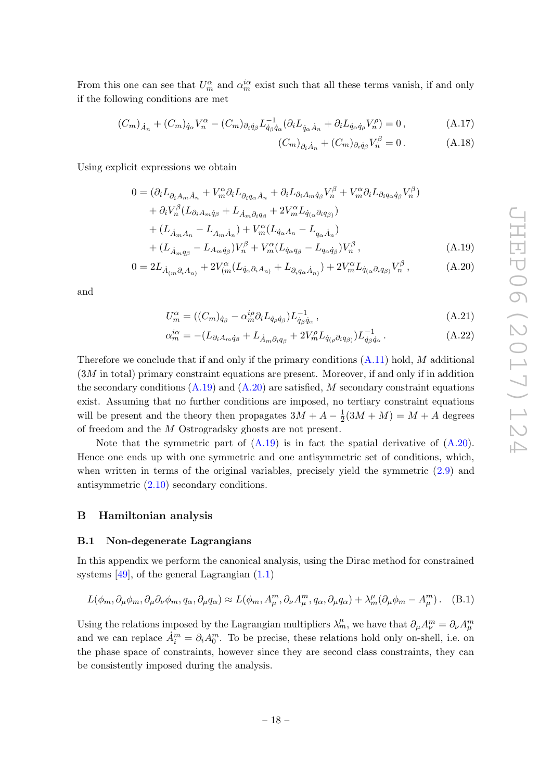From this one can see that  $U_m^{\alpha}$  and  $\alpha_m^{i\alpha}$  exist such that all these terms vanish, if and only if the following conditions are met

$$
(C_m)_{\dot{A}_n} + (C_m)_{\dot{q}_\alpha} V_n^\alpha - (C_m)_{\partial_i \dot{q}_\beta} L_{\dot{q}_\beta \dot{q}_\alpha}^{-1} (\partial_i L_{\dot{q}_\alpha \dot{A}_n} + \partial_i L_{\dot{q}_\alpha \dot{q}_\rho} V_n^\rho) = 0, \qquad (A.17)
$$

<span id="page-18-5"></span><span id="page-18-4"></span><span id="page-18-3"></span><span id="page-18-2"></span>
$$
(C_m)_{\partial_i \dot{A}_n} + (C_m)_{\partial_i \dot{q}_\beta} V_n^\beta = 0. \tag{A.18}
$$

Using explicit expressions we obtain

$$
0 = (\partial_i L_{\partial_i A_m \dot{A}_n} + V_m^{\alpha} \partial_i L_{\partial_i q_{\alpha} \dot{A}_n} + \partial_i L_{\partial_i A_m \dot{q}_{\beta}} V_n^{\beta} + V_m^{\alpha} \partial_i L_{\partial_i q_{\alpha} \dot{q}_{\beta}} V_n^{\beta})
$$
  
+  $\partial_i V_n^{\beta} (L_{\partial_i A_m \dot{q}_{\beta}} + L_{\dot{A}_m \partial_i q_{\beta}} + 2V_m^{\alpha} L_{\dot{q}_{(\alpha} \partial_i q_{\beta})})$   
+  $(L_{\dot{A}_m A_n} - L_{A_m \dot{A}_n}) + V_m^{\alpha} (L_{\dot{q}_{\alpha} A_n} - L_{q_{\alpha} \dot{A}_n})$   
+  $(L_{\dot{A}_m q_{\beta}} - L_{A_m \dot{q}_{\beta}}) V_n^{\beta} + V_m^{\alpha} (L_{\dot{q}_{\alpha} q_{\beta}} - L_{q_{\alpha} \dot{q}_{\beta}}) V_n^{\beta},$  (A.19)

$$
0 = 2L_{\dot{A}_{(m}\partial_i A_n)} + 2V_{(m}^{\alpha}(L_{\dot{q}_{\alpha}\partial_i A_n)} + L_{\partial_i q_{\alpha}\dot{A}_n}) + 2V_m^{\alpha}L_{\dot{q}_{(\alpha}\partial_i q_{\beta)}}V_n^{\beta},\tag{A.20}
$$

and

$$
U_m^{\alpha} = ((C_m)_{\dot{q}_\beta} - \alpha_m^{i\rho} \partial_i L_{\dot{q}_\rho \dot{q}_\beta}) L_{\dot{q}_\beta \dot{q}_\alpha}^{-1}, \qquad (A.21)
$$

$$
\alpha_m^{i\alpha} = -(L_{\partial_i A_m \dot{q}_\beta} + L_{\dot{A}_m \partial_i q_\beta} + 2V_m^{\rho} L_{\dot{q}_(\rho \partial_i q_\beta)} L_{\dot{q}_\beta \dot{q}_\alpha}^{-1} \,. \tag{A.22}
$$

Therefore we conclude that if and only if the primary conditions  $(A.11)$  hold, M additional  $(3M \text{ in total})$  primary constraint equations are present. Moreover, if and only if in addition the secondary conditions  $(A.19)$  and  $(A.20)$  are satisfied, M secondary constraint equations exist. Assuming that no further conditions are imposed, no tertiary constraint equations will be present and the theory then propagates  $3M + A - \frac{1}{2}$  $\frac{1}{2}(3M + M) = M + A$  degrees of freedom and the M Ostrogradsky ghosts are not present.

Note that the symmetric part of  $(A.19)$  is in fact the spatial derivative of  $(A.20)$ . Hence one ends up with one symmetric and one antisymmetric set of conditions, which, when written in terms of the original variables, precisely yield the symmetric  $(2.9)$  and antisymmetric [\(2.10\)](#page-6-2) secondary conditions.

#### <span id="page-18-0"></span>B Hamiltonian analysis

#### <span id="page-18-1"></span>B.1 Non-degenerate Lagrangians

In this appendix we perform the canonical analysis, using the Dirac method for constrained systems  $[49]$ , of the general Lagrangian  $(1.1)$ 

<span id="page-18-6"></span>
$$
L(\phi_m, \partial_\mu \phi_m, \partial_\mu \partial_\nu \phi_m, q_\alpha, \partial_\mu q_\alpha) \approx L(\phi_m, A^m_\mu, \partial_\nu A^m_\mu, q_\alpha, \partial_\mu q_\alpha) + \lambda^{\mu}_m (\partial_\mu \phi_m - A^m_\mu). \quad (B.1)
$$

Using the relations imposed by the Lagrangian multipliers  $\lambda_m^{\mu}$ , we have that  $\partial_{\mu}A_{\nu}^m = \partial_{\nu}A_{\mu}^m$ and we can replace  $\dot{A}_i^m = \partial_i A_0^m$ . To be precise, these relations hold only on-shell, i.e. on the phase space of constraints, however since they are second class constraints, they can be consistently imposed during the analysis.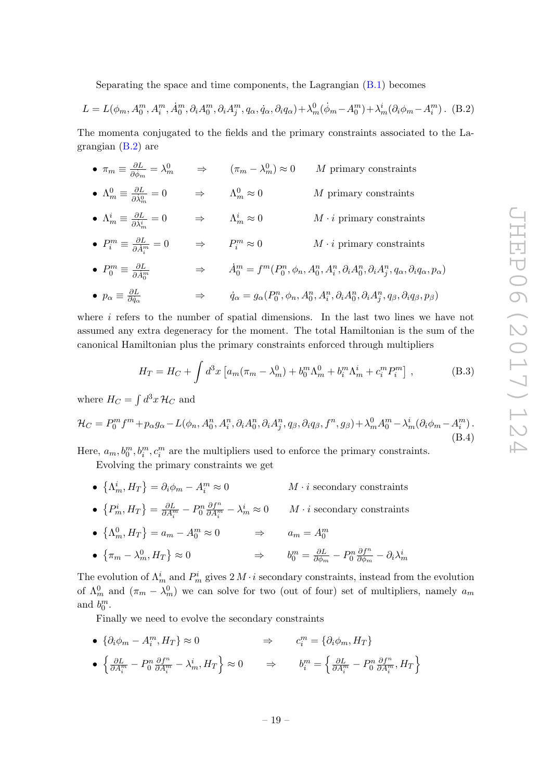Separating the space and time components, the Lagrangian [\(B.1\)](#page-18-6) becomes

<span id="page-19-0"></span>
$$
L = L(\phi_m, A_0^m, A_i^m, \dot{A}_0^m, \partial_i A_0^m, \partial_i A_j^m, q_\alpha, \dot{q}_\alpha, \partial_i q_\alpha) + \lambda_m^0 (\dot{\phi}_m - A_0^m) + \lambda_m^i (\partial_i \phi_m - A_i^m).
$$
 (B.2)

The momenta conjugated to the fields and the primary constraints associated to the Lagrangian [\(B.2\)](#page-19-0) are

- $\pi_m \equiv \frac{\partial L}{\partial \dot{\phi}_m} = \lambda_m^0$   $\Rightarrow$   $(\pi_m \lambda_m^0) \approx 0$  *M* primary constraints
- $\Lambda_m^0 \equiv \frac{\partial L}{\partial \dot{\lambda}_m^0} = 0 \Rightarrow \Lambda_m^0 \approx 0$  *M* primary constraints
- $\Lambda_m^i \equiv \frac{\partial L}{\partial \dot{\lambda}_m^i} = 0$   $\Rightarrow$   $\Lambda_m^i \approx 0$   $M \cdot i$  primary constraints
- $P_i^m \equiv \frac{\partial L}{\partial \dot{A}_i^m} = 0 \Rightarrow P_i^m \approx 0 \qquad M \cdot i$  primary constraints •  $P_0^m \equiv \frac{\partial L}{\partial \dot{A}_0^m}$  $\Rightarrow$   $\dot{A}_0^m = f^m(P_0^n, \phi_n, A_0^n, A_i^n, \partial_i A_0^n, \partial_i A_j^n, q_\alpha, \partial_i q_\alpha, p_\alpha)$

• 
$$
p_{\alpha} \equiv \frac{\partial L}{\partial \dot{q}_{\alpha}}
$$
  $\Rightarrow \dot{q}_{\alpha} = g_{\alpha}(P_0^n, \phi_n, A_0^n, A_i^n, \partial_i A_0^n, \partial_i A_j^n, q_{\beta}, \partial_i q_{\beta}, p_{\beta})$ 

where  $i$  refers to the number of spatial dimensions. In the last two lines we have not assumed any extra degeneracy for the moment. The total Hamiltonian is the sum of the canonical Hamiltonian plus the primary constraints enforced through multipliers

$$
H_T = H_C + \int d^3x \left[ a_m (\pi_m - \lambda_m^0) + b_0^m \Lambda_m^0 + b_i^m \Lambda_m^i + c_i^m P_i^m \right] , \qquad (B.3)
$$

 $\theta$ 

where  $H_C = \int d^3x \, \mathcal{H}_C$  and

$$
\mathcal{H}_{C} = P_{0}^{m} f^{m} + p_{\alpha} g_{\alpha} - L(\phi_{n}, A_{0}^{n}, A_{i}^{n}, \partial_{i} A_{0}^{n}, \partial_{i} A_{j}^{n}, q_{\beta}, \partial_{i} q_{\beta}, f^{n}, g_{\beta}) + \lambda_{m}^{0} A_{0}^{m} - \lambda_{m}^{i} (\partial_{i} \phi_{m} - A_{i}^{m}).
$$
\n(B.4)

Here,  $a_m, b_0^m, b_i^m, c_i^m$  are the multipliers used to enforce the primary constraints.

Evolving the primary constraints we get

- $\{\Lambda_m^i, H_T\} = \partial_i \phi_m A_i^m$  $M \cdot i$  secondary constraints
- $\{P_m^i, H_T\} = \frac{\partial L}{\partial A_i^m} P_0^n \frac{\partial f^n}{\partial A_i^n}$  $\frac{\partial f^n}{\partial A_i^m} - \lambda_m^i \approx 0$  M · *i* secondary constraints

• 
$$
\{\Lambda_m^0, H_T\} = a_m - A_0^m \approx 0
$$
  $\Rightarrow$   $a_m = A_0^m$ 

 $\bullet$   $\{\pi_m - \lambda_m^0, H_T\}$  $\approx 0$   $\Rightarrow$   $b_0^m = \frac{\partial L}{\partial \phi_m}$  $\frac{\partial L}{\partial \phi_m} - P_0^n \frac{\partial f^n}{\partial \phi_m}$  $\frac{\partial f^{n}}{\partial \phi_m}-\partial_i\lambda_m^i$ 

The evolution of  $\Lambda_m^i$  and  $P_m^i$  gives  $2 M \cdot i$  secondary constraints, instead from the evolution of  $\Lambda_m^0$  and  $(\pi_m - \lambda_m^0)$  we can solve for two (out of four) set of multipliers, namely  $a_m$ and  $b_0^m$ .

Finally we need to evolve the secondary constraints

•  $\{\partial_i \phi_m - A_i^m, H_T\} \approx 0$   $\Rightarrow$   $c_i^m = \{\partial_i \phi_m, H_T\}$  $\bullet$   $\Big\{ \frac{\partial L}{\partial A_i^m} - P_0^n \frac{\partial f^n}{\partial A_i^n}$  $\frac{\partial f^n}{\partial A_i^m} - \lambda_m^i, H_T$   $\geq 0$   $\Rightarrow$   $b_i^m = \begin{cases} \frac{\partial L}{\partial A_i^m} - P_0^n \frac{\partial f^n}{\partial A_i^n} \end{cases}$  $\left\{\fracpartial f^n}{\partial A_i^m},H_T\right\}$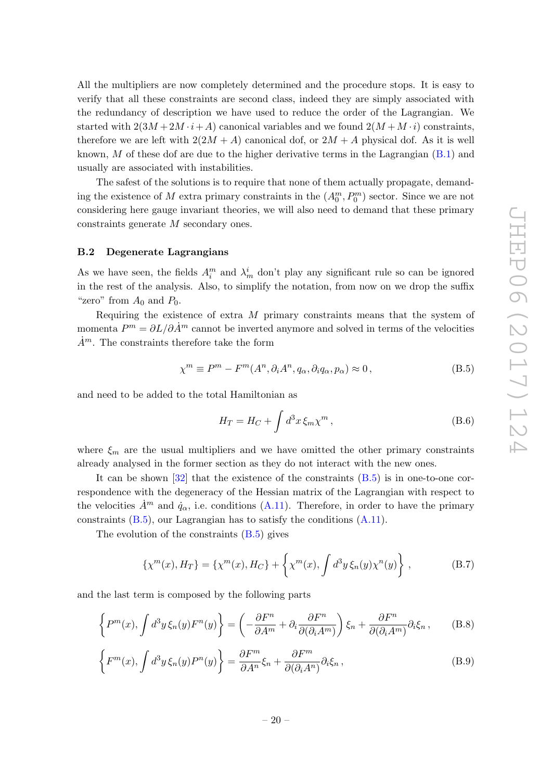All the multipliers are now completely determined and the procedure stops. It is easy to verify that all these constraints are second class, indeed they are simply associated with the redundancy of description we have used to reduce the order of the Lagrangian. We started with  $2(3M + 2M \cdot i + A)$  canonical variables and we found  $2(M + M \cdot i)$  constraints, therefore we are left with  $2(2M+A)$  canonical dof, or  $2M+A$  physical dof. As it is well known,  $M$  of these dof are due to the higher derivative terms in the Lagrangian  $(B.1)$  and usually are associated with instabilities.

The safest of the solutions is to require that none of them actually propagate, demanding the existence of M extra primary constraints in the  $(A_0^m, P_0^m)$  sector. Since we are not considering here gauge invariant theories, we will also need to demand that these primary constraints generate M secondary ones.

#### <span id="page-20-0"></span>B.2 Degenerate Lagrangians

As we have seen, the fields  $A_i^m$  and  $\lambda_m^i$  don't play any significant rule so can be ignored in the rest of the analysis. Also, to simplify the notation, from now on we drop the suffix "zero" from  $A_0$  and  $P_0$ .

Requiring the existence of extra  $M$  primary constraints means that the system of momenta  $P^m = \partial L / \partial \dot{A}^m$  cannot be inverted anymore and solved in terms of the velocities  $\dot{A}^m$ . The constraints therefore take the form

<span id="page-20-1"></span>
$$
\chi^m \equiv P^m - F^m(A^n, \partial_i A^n, q_\alpha, \partial_i q_\alpha, p_\alpha) \approx 0, \qquad (B.5)
$$

and need to be added to the total Hamiltonian as

<span id="page-20-3"></span>
$$
H_T = H_C + \int d^3x \,\xi_m \chi^m \,,\tag{B.6}
$$

where  $\xi_m$  are the usual multipliers and we have omitted the other primary constraints already analysed in the former section as they do not interact with the new ones.

It can be shown [\[32\]](#page-27-3) that the existence of the constraints [\(B.5\)](#page-20-1) is in one-to-one correspondence with the degeneracy of the Hessian matrix of the Lagrangian with respect to the velocities  $\dot{A}^m$  and  $\dot{q}_\alpha$ , i.e. conditions [\(A.11\)](#page-17-1). Therefore, in order to have the primary constraints  $(B.5)$ , our Lagrangian has to satisfy the conditions  $(A.11)$ .

The evolution of the constraints [\(B.5\)](#page-20-1) gives

<span id="page-20-2"></span>
$$
\{\chi^m(x), H_T\} = \{\chi^m(x), H_C\} + \left\{\chi^m(x), \int d^3y \,\xi_n(y)\chi^n(y)\right\},\tag{B.7}
$$

and the last term is composed by the following parts

$$
\left\{P^m(x), \int d^3y \,\xi_n(y)F^n(y)\right\} = \left(-\frac{\partial F^n}{\partial A^m} + \partial_i \frac{\partial F^n}{\partial(\partial_i A^m)}\right)\xi_n + \frac{\partial F^n}{\partial(\partial_i A^m)}\partial_i \xi_n, \tag{B.8}
$$

$$
\left\{ F^m(x), \int d^3y \,\xi_n(y) P^n(y) \right\} = \frac{\partial F^m}{\partial A^n} \xi_n + \frac{\partial F^m}{\partial (\partial_i A^n)} \partial_i \xi_n , \tag{B.9}
$$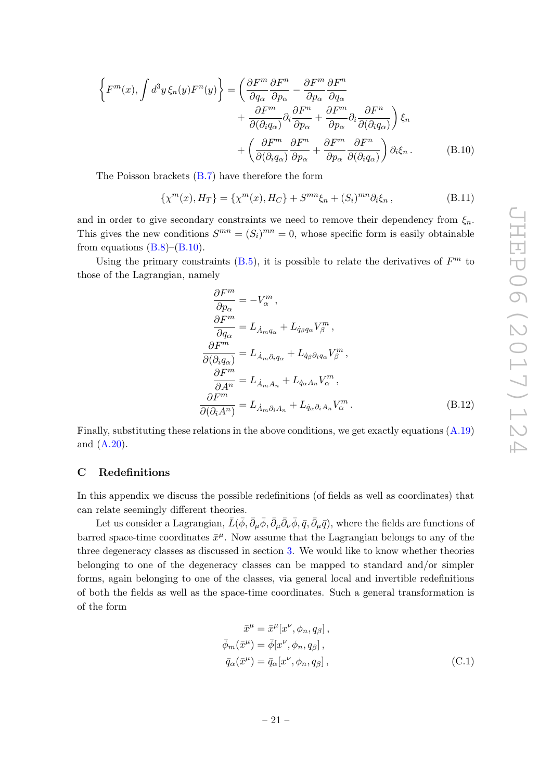$$
\left\{ F^{m}(x), \int d^{3}y \,\xi_{n}(y)F^{n}(y) \right\} = \left( \frac{\partial F^{m}}{\partial q_{\alpha}} \frac{\partial F^{n}}{\partial p_{\alpha}} - \frac{\partial F^{m}}{\partial p_{\alpha}} \frac{\partial F^{n}}{\partial q_{\alpha}} \right. \\
\left. + \frac{\partial F^{m}}{\partial(\partial_{i}q_{\alpha})} \partial_{i} \frac{\partial F^{n}}{\partial p_{\alpha}} + \frac{\partial F^{m}}{\partial p_{\alpha}} \partial_{i} \frac{\partial F^{n}}{\partial(\partial_{i}q_{\alpha})} \right) \xi_{n} \\
+ \left( \frac{\partial F^{m}}{\partial(\partial_{i}q_{\alpha})} \frac{\partial F^{n}}{\partial p_{\alpha}} + \frac{\partial F^{m}}{\partial p_{\alpha}} \frac{\partial F^{n}}{\partial(\partial_{i}q_{\alpha})} \right) \partial_{i} \xi_{n} . \tag{B.10}
$$

The Poisson brackets [\(B.7\)](#page-20-2) have therefore the form

$$
\{\chi^{m}(x), H_{T}\} = \{\chi^{m}(x), H_{C}\} + S^{mn}\xi_{n} + (S_{i})^{mn}\partial_{i}\xi_{n},
$$
\n(B.11)

and in order to give secondary constraints we need to remove their dependency from  $\xi_n$ . This gives the new conditions  $S^{mn} = (S_i)^{mn} = 0$ , whose specific form is easily obtainable from equations  $(B.8)$ – $(B.10)$ .

Using the primary constraints  $(B.5)$ , it is possible to relate the derivatives of  $F<sup>m</sup>$  to those of the Lagrangian, namely

<span id="page-21-1"></span>
$$
\frac{\partial F^m}{\partial p_\alpha} = -V^m_\alpha,
$$
\n
$$
\frac{\partial F^m}{\partial q_\alpha} = L_{\dot{A}_m q_\alpha} + L_{\dot{q}_\beta q_\alpha} V^m_\beta,
$$
\n
$$
\frac{\partial F^m}{\partial (\partial_i q_\alpha)} = L_{\dot{A}_m \partial_i q_\alpha} + L_{\dot{q}_\beta \partial_i q_\alpha} V^m_\beta,
$$
\n
$$
\frac{\partial F^m}{\partial A^n} = L_{\dot{A}_m A_n} + L_{\dot{q}_\alpha A_n} V^m_\alpha,
$$
\n
$$
\frac{\partial F^m}{\partial (\partial_i A^n)} = L_{\dot{A}_m \partial_i A_n} + L_{\dot{q}_\alpha \partial_i A_n} V^m_\alpha.
$$
\n(B.12)

Finally, substituting these relations in the above conditions, we get exactly equations [\(A.19\)](#page-18-4) and [\(A.20\)](#page-18-5).

# <span id="page-21-0"></span>C Redefinitions

In this appendix we discuss the possible redefinitions (of fields as well as coordinates) that can relate seemingly different theories.

Let us consider a Lagrangian,  $\bar{L}(\bar{\phi}, \bar{\partial}_{\mu}\bar{\phi}, \bar{\partial}_{\mu}\bar{\partial}_{\nu}\bar{\phi}, \bar{q}, \bar{\partial}_{\mu}\bar{q})$ , where the fields are functions of barred space-time coordinates  $\bar{x}^{\mu}$ . Now assume that the Lagrangian belongs to any of the three degeneracy classes as discussed in section [3.](#page-9-0) We would like to know whether theories belonging to one of the degeneracy classes can be mapped to standard and/or simpler forms, again belonging to one of the classes, via general local and invertible redefinitions of both the fields as well as the space-time coordinates. Such a general transformation is of the form

<span id="page-21-2"></span>
$$
\bar{x}^{\mu} = \bar{x}^{\mu} [x^{\nu}, \phi_n, q_{\beta}],
$$
  
\n
$$
\bar{\phi}_m(\bar{x}^{\mu}) = \bar{\phi}[x^{\nu}, \phi_n, q_{\beta}],
$$
  
\n
$$
\bar{q}_{\alpha}(\bar{x}^{\mu}) = \bar{q}_{\alpha}[x^{\nu}, \phi_n, q_{\beta}],
$$
\n(C.1)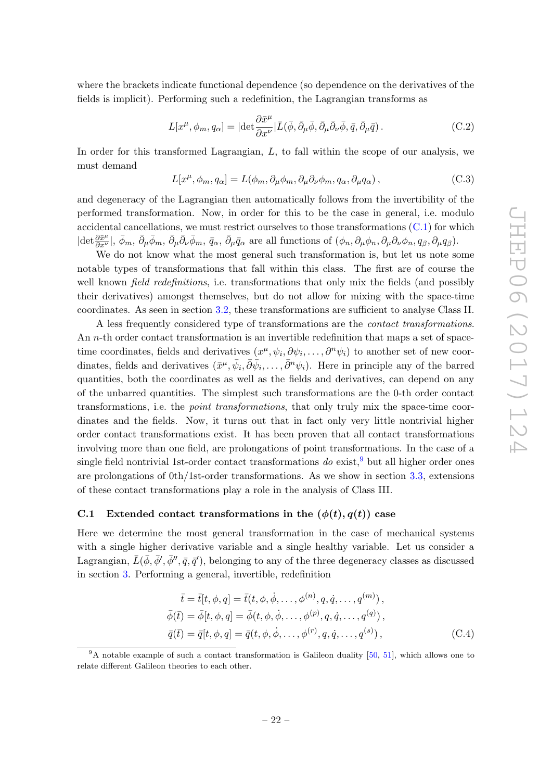where the brackets indicate functional dependence (so dependence on the derivatives of the fields is implicit). Performing such a redefinition, the Lagrangian transforms as

$$
L[x^{\mu}, \phi_m, q_{\alpha}] = |\det \frac{\partial \bar{x}^{\mu}}{\partial x^{\nu}} | \bar{L}(\bar{\phi}, \bar{\partial}_{\mu}\bar{\phi}, \bar{\partial}_{\mu}\bar{\partial}_{\nu}\bar{\phi}, \bar{q}, \bar{\partial}_{\mu}\bar{q}) .
$$
 (C.2)

In order for this transformed Lagrangian, L, to fall within the scope of our analysis, we must demand

$$
L[x^{\mu}, \phi_m, q_{\alpha}] = L(\phi_m, \partial_{\mu}\phi_m, \partial_{\mu}\partial_{\nu}\phi_m, q_{\alpha}, \partial_{\mu}q_{\alpha}), \qquad (C.3)
$$

and degeneracy of the Lagrangian then automatically follows from the invertibility of the performed transformation. Now, in order for this to be the case in general, i.e. modulo accidental cancellations, we must restrict ourselves to those transformations  $(C.1)$  for which  $|\text{det} \frac{\partial \tilde{x}^{\mu}}{\partial x^{\nu}}|$ ,  $\bar{\phi}_m$ ,  $\bar{\partial}_{\mu} \bar{\phi}_m$ ,  $\bar{q}_{\mu} \bar{q}_{\nu}$ ,  $\bar{q}_{\alpha}$ ,  $\bar{\partial}_{\mu} \bar{q}_{\alpha}$  are all functions of  $(\phi_n, \partial_{\mu} \phi_n, \partial_{\mu} \partial_{\nu} \phi_n, q_{\beta}, \partial_{\mu} q_{\beta})$ .

We do not know what the most general such transformation is, but let us note some notable types of transformations that fall within this class. The first are of course the well known *field redefinitions*, i.e. transformations that only mix the fields (and possibly their derivatives) amongst themselves, but do not allow for mixing with the space-time coordinates. As seen in section [3.2,](#page-10-0) these transformations are sufficient to analyse Class II.

A less frequently considered type of transformations are the contact transformations. An n-th order contact transformation is an invertible redefinition that maps a set of spacetime coordinates, fields and derivatives  $(x^{\mu}, \psi_i, \partial \psi_i, \dots, \partial^n \psi_i)$  to another set of new coordinates, fields and derivatives  $(\bar{x}^{\mu}, \bar{\psi}_i, \bar{\partial}\bar{\psi}_i, \dots, \bar{\partial}^n{\psi}_i)$ . Here in principle any of the barred quantities, both the coordinates as well as the fields and derivatives, can depend on any of the unbarred quantities. The simplest such transformations are the 0-th order contact transformations, i.e. the point transformations, that only truly mix the space-time coordinates and the fields. Now, it turns out that in fact only very little nontrivial higher order contact transformations exist. It has been proven that all contact transformations involving more than one field, are prolongations of point transformations. In the case of a single field nontrivial 1st-order contact transformations  $do$  exist,  $9$  but all higher order ones are prolongations of 0th/1st-order transformations. As we show in section [3.3,](#page-12-0) extensions of these contact transformations play a role in the analysis of Class III.

## <span id="page-22-0"></span>C.1 Extended contact transformations in the  $(\phi(t), q(t))$  case

Here we determine the most general transformation in the case of mechanical systems with a single higher derivative variable and a single healthy variable. Let us consider a Lagrangian,  $\bar{L}(\bar{\phi}, \bar{\phi}', \bar{\phi}'', \bar{q}, \bar{q}')$ , belonging to any of the three degeneracy classes as discussed in section [3.](#page-9-0) Performing a general, invertible, redefinition

$$
\bar{t} = \bar{t}[t, \phi, q] = \bar{t}(t, \phi, \dot{\phi}, \dots, \phi^{(n)}, q, \dot{q}, \dots, q^{(m)}),
$$
  
\n
$$
\bar{\phi}(\bar{t}) = \bar{\phi}[t, \phi, q] = \bar{\phi}(t, \phi, \dot{\phi}, \dots, \phi^{(p)}, q, \dot{q}, \dots, q^{(q)}),
$$
  
\n
$$
\bar{q}(\bar{t}) = \bar{q}[t, \phi, q] = \bar{q}(t, \phi, \dot{\phi}, \dots, \phi^{(r)}, q, \dot{q}, \dots, q^{(s)}),
$$
\n(C.4)

<span id="page-22-1"></span> $9A$  notable example of such a contact transformation is Galileon duality [\[50,](#page-28-2) [51\]](#page-28-3), which allows one to relate different Galileon theories to each other.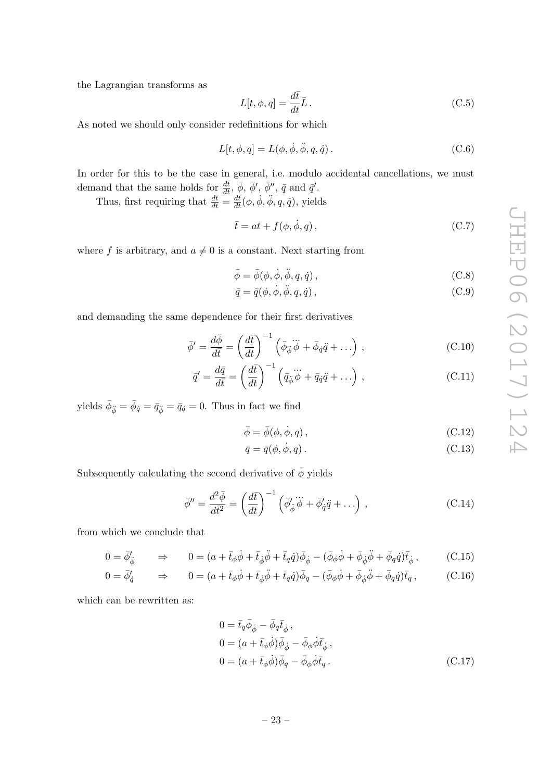the Lagrangian transforms as

$$
L[t, \phi, q] = \frac{d\bar{t}}{dt}\bar{L}.
$$
 (C.5)

As noted we should only consider redefinitions for which

$$
L[t, \phi, q] = L(\phi, \dot{\phi}, \ddot{\phi}, q, \dot{q}).
$$
\n(C.6)

In order for this to be the case in general, i.e. modulo accidental cancellations, we must demand that the same holds for  $\frac{d\bar{t}}{dt}$ ,  $\bar{\phi}$ ,  $\bar{\phi}'$ ,  $\bar{\phi}''$ ,  $\bar{q}$  and  $\bar{q}'$ .

Thus, first requiring that  $\frac{d\bar{t}}{dt} = \frac{d\bar{t}}{dt}(\phi, \dot{\phi}, \ddot{\phi}, q, \dot{q})$ , yields

$$
\bar{t} = at + f(\phi, \dot{\phi}, q), \tag{C.7}
$$

where f is arbitrary, and  $a \neq 0$  is a constant. Next starting from

$$
\bar{\phi} = \bar{\phi}(\phi, \dot{\phi}, \ddot{\phi}, q, \dot{q}), \qquad (C.8)
$$

$$
\bar{q} = \bar{q}(\phi, \dot{\phi}, \ddot{\phi}, q, \dot{q}),\tag{C.9}
$$

and demanding the same dependence for their first derivatives

$$
\bar{\phi}' = \frac{d\bar{\phi}}{d\bar{t}} = \left(\frac{d\bar{t}}{dt}\right)^{-1} \left(\bar{\phi}_{\ddot{\phi}} \ddot{\phi} + \bar{\phi}_{\dot{q}} \ddot{q} + \dots\right),\tag{C.10}
$$

$$
\vec{q}' = \frac{d\bar{q}}{d\bar{t}} = \left(\frac{d\bar{t}}{dt}\right)^{-1} \left(\bar{q}_{\ddot{\phi}} \ddot{\phi} + \bar{q}_{\dot{q}} \ddot{q} + \ldots\right),\tag{C.11}
$$

yields  $\bar{\phi}_{\ddot{\phi}} = \bar{\phi}_{\dot{q}} = \bar{q}_{\ddot{\phi}} = \bar{q}_{\dot{q}} = 0$ . Thus in fact we find

$$
\bar{\phi} = \bar{\phi}(\phi, \dot{\phi}, q), \tag{C.12}
$$

$$
\bar{q} = \bar{q}(\phi, \dot{\phi}, q). \tag{C.13}
$$

Subsequently calculating the second derivative of  $\bar{\phi}$  yields

$$
\bar{\phi}'' = \frac{d^2 \bar{\phi}}{d\bar{t}^2} = \left(\frac{d\bar{t}}{dt}\right)^{-1} \left(\bar{\phi}'_{\ddot{\phi}} \ddot{\phi} + \bar{\phi}'_{\dot{q}} \ddot{q} + \ldots\right), \qquad (C.14)
$$

from which we conclude that

$$
0 = \bar{\phi}'_{\dot{\phi}} \qquad \Rightarrow \qquad 0 = (a + \bar{t}_{\phi}\dot{\phi} + \bar{t}_{\dot{\phi}}\ddot{\phi} + \bar{t}_{q}\dot{q})\bar{\phi}_{\dot{\phi}} - (\bar{\phi}_{\phi}\dot{\phi} + \bar{\phi}_{\dot{\phi}}\ddot{\phi} + \bar{\phi}_{q}\dot{q})\bar{t}_{\dot{\phi}} , \tag{C.15}
$$

$$
0 = \bar{\phi}'_q \qquad \Rightarrow \qquad 0 = (a + \bar{t}_{\phi}\dot{\phi} + \bar{t}_{\dot{\phi}}\ddot{\phi} + \bar{t}_q\dot{q})\bar{\phi}_q - (\bar{\phi}_{\phi}\dot{\phi} + \bar{\phi}_{\dot{\phi}}\ddot{\phi} + \bar{\phi}_q\dot{q})\bar{t}_q, \qquad (C.16)
$$

which can be rewritten as:

<span id="page-23-0"></span>
$$
0 = \bar{t}_q \bar{\phi}_{\dot{\phi}} - \bar{\phi}_q \bar{t}_{\dot{\phi}} ,
$$
  
\n
$$
0 = (a + \bar{t}_{\phi} \dot{\phi}) \bar{\phi}_{\dot{\phi}} - \bar{\phi}_{\phi} \dot{\phi} \bar{t}_{\dot{\phi}} ,
$$
  
\n
$$
0 = (a + \bar{t}_{\phi} \dot{\phi}) \bar{\phi}_q - \bar{\phi}_{\phi} \dot{\phi} \bar{t}_q .
$$
\n(C.17)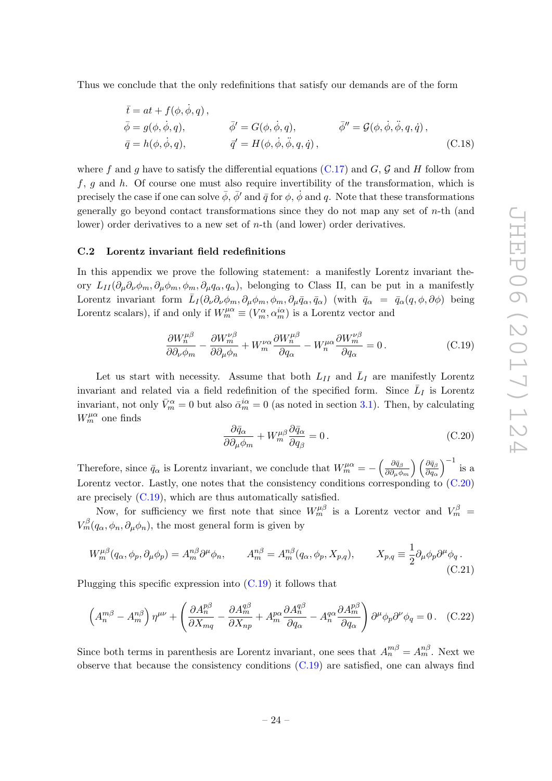Thus we conclude that the only redefinitions that satisfy our demands are of the form

$$
\begin{aligned}\n\bar{t} &= at + f(\phi, \dot{\phi}, q), \\
\bar{\phi} &= g(\phi, \dot{\phi}, q), \\
\bar{q} &= h(\phi, \dot{\phi}, q), \\
\bar{q}' &= H(\phi, \dot{\phi}, \ddot{\phi}, q, \dot{q}), \\
\bar{q}' &= H(\phi, \dot{\phi}, \ddot{\phi}, q, \dot{q}),\n\end{aligned}
$$
\n(C.18)

where f and g have to satisfy the differential equations [\(C.17\)](#page-23-0) and G, G and H follow from  $f, g$  and h. Of course one must also require invertibility of the transformation, which is precisely the case if one can solve  $\bar{\phi}$ ,  $\bar{\phi}'$  and  $\bar{q}$  for  $\phi$ ,  $\dot{\phi}$  and q. Note that these transformations generally go beyond contact transformations since they do not map any set of  $n$ -th (and lower) order derivatives to a new set of  $n$ -th (and lower) order derivatives.

#### <span id="page-24-0"></span>C.2 Lorentz invariant field redefinitions

In this appendix we prove the following statement: a manifestly Lorentz invariant theory  $L_{II}(\partial_{\mu}\partial_{\nu}\phi_m, \partial_{\mu}\phi_m, \partial_{\mu}q_{\alpha}, q_{\alpha})$ , belonging to Class II, can be put in a manifestly Lorentz invariant form  $\bar{L}_I(\partial_\nu \partial_\nu \phi_m, \partial_\mu \phi_m, \phi_m, \partial_\mu \bar{q}_\alpha, \bar{q}_\alpha)$  (with  $\bar{q}_\alpha = \bar{q}_\alpha(q, \phi, \partial \phi)$  being Lorentz scalars), if and only if  $W_m^{\mu\alpha} \equiv (V_m^\alpha, \alpha_m^{i\alpha})$  is a Lorentz vector and

<span id="page-24-2"></span>
$$
\frac{\partial W_n^{\mu\beta}}{\partial \partial_\nu \phi_m} - \frac{\partial W_m^{\nu\beta}}{\partial \partial_\mu \phi_n} + W_m^{\nu\alpha} \frac{\partial W_n^{\mu\beta}}{\partial q_\alpha} - W_n^{\mu\alpha} \frac{\partial W_m^{\nu\beta}}{\partial q_\alpha} = 0.
$$
 (C.19)

Let us start with necessity. Assume that both  $L_{II}$  and  $\overline{L}_{I}$  are manifestly Lorentz invariant and related via a field redefinition of the specified form. Since  $\bar{L}_I$  is Lorentz invariant, not only  $\bar{V}_m^{\alpha} = 0$  but also  $\bar{\alpha}_m^{i\alpha} = 0$  (as noted in section [3.1\)](#page-9-1). Then, by calculating  $W_m^{\mu\alpha}$  one finds

<span id="page-24-1"></span>
$$
\frac{\partial \bar{q}_{\alpha}}{\partial \partial_{\mu}\phi_m} + W_m^{\mu\beta} \frac{\partial \bar{q}_{\alpha}}{\partial q_{\beta}} = 0.
$$
 (C.20)

Therefore, since  $\bar{q}_{\alpha}$  is Lorentz invariant, we conclude that  $W_m^{\mu\alpha} = -\left(\frac{\partial \bar{q}_{\beta}}{\partial \partial_{\mu}\phi}\right)$  $\frac{\partial \bar{q}_{\beta}}{\partial \partial_{\mu}\phi_m}$ )  $\left(\frac{\partial \bar{q}_{\beta}}{\partial q_{\alpha}}\right)^{-1}$  is a Lorentz vector. Lastly, one notes that the consistency conditions corresponding to [\(C.20\)](#page-24-1) are precisely  $(C.19)$ , which are thus automatically satisfied.

Now, for sufficiency we first note that since  $W_m^{\mu\beta}$  is a Lorentz vector and  $V_m^{\beta}$  =  $V_m^{\beta}(q_\alpha, \phi_n, \partial_\mu \phi_n)$ , the most general form is given by

$$
W_m^{\mu\beta}(q_\alpha, \phi_p, \partial_\mu \phi_p) = A_m^{n\beta} \partial^\mu \phi_n, \qquad A_m^{n\beta} = A_m^{n\beta}(q_\alpha, \phi_p, X_{p,q}), \qquad X_{p,q} \equiv \frac{1}{2} \partial_\mu \phi_p \partial^\mu \phi_q.
$$
\n(C.21)

Plugging this specific expression into  $(C.19)$  it follows that

$$
\left(A_n^{m\beta} - A_m^{n\beta}\right)\eta^{\mu\nu} + \left(\frac{\partial A_n^{p\beta}}{\partial X_{mq}} - \frac{\partial A_m^{q\beta}}{\partial X_{np}} + A_m^{p\alpha}\frac{\partial A_n^{q\beta}}{\partial q_{\alpha}} - A_n^{q\alpha}\frac{\partial A_m^{p\beta}}{\partial q_{\alpha}}\right)\partial^{\mu}\phi_p\partial^{\nu}\phi_q = 0. \quad \text{(C.22)}
$$

Since both terms in parenthesis are Lorentz invariant, one sees that  $A_n^{m\beta} = A_m^{n\beta}$ . Next we observe that because the consistency conditions  $(C.19)$  are satisfied, one can always find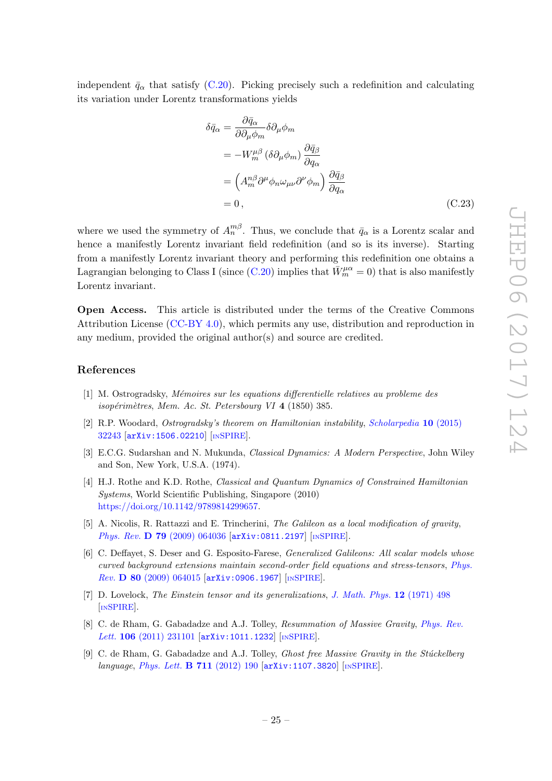independent  $\bar{q}_{\alpha}$  that satisfy [\(C.20\)](#page-24-1). Picking precisely such a redefinition and calculating its variation under Lorentz transformations yields

$$
\delta \bar{q}_{\alpha} = \frac{\partial \bar{q}_{\alpha}}{\partial \partial_{\mu} \phi_{m}} \delta \partial_{\mu} \phi_{m}
$$
  
\n
$$
= -W_{m}^{\mu\beta} (\delta \partial_{\mu} \phi_{m}) \frac{\partial \bar{q}_{\beta}}{\partial q_{\alpha}}
$$
  
\n
$$
= \left( A_{m}^{n\beta} \partial^{\mu} \phi_{n} \omega_{\mu\nu} \partial^{\nu} \phi_{m} \right) \frac{\partial \bar{q}_{\beta}}{\partial q_{\alpha}}
$$
  
\n
$$
= 0, \qquad (C.23)
$$

where we used the symmetry of  $A_n^{m\beta}$ . Thus, we conclude that  $\bar{q}_{\alpha}$  is a Lorentz scalar and hence a manifestly Lorentz invariant field redefinition (and so is its inverse). Starting from a manifestly Lorentz invariant theory and performing this redefinition one obtains a Lagrangian belonging to Class I (since  $(C.20)$  implies that  $\bar{W}^{\mu\alpha}_{m} = 0$ ) that is also manifestly Lorentz invariant.

Open Access. This article is distributed under the terms of the Creative Commons Attribution License [\(CC-BY 4.0\)](https://creativecommons.org/licenses/by/4.0/), which permits any use, distribution and reproduction in any medium, provided the original author(s) and source are credited.

## References

- <span id="page-25-0"></span>[1] M. Ostrogradsky, M´emoires sur les equations differentielle relatives au probleme des  $isopérimètres, Mem. Ac. St. Petersburg VI 4 (1850) 385.$
- <span id="page-25-1"></span>[2] R.P. Woodard, Ostrogradsky's theorem on Hamiltonian instability, [Scholarpedia](https://doi.org/10.4249/scholarpedia.32243) 10 (2015) [32243](https://doi.org/10.4249/scholarpedia.32243) [[arXiv:1506.02210](https://arxiv.org/abs/1506.02210)] [IN[SPIRE](https://inspirehep.net/search?p=find+EPRINT+arXiv:1506.02210)].
- <span id="page-25-2"></span>[3] E.C.G. Sudarshan and N. Mukunda, Classical Dynamics: A Modern Perspective, John Wiley and Son, New York, U.S.A. (1974).
- <span id="page-25-3"></span>[4] H.J. Rothe and K.D. Rothe, Classical and Quantum Dynamics of Constrained Hamiltonian Systems, World Scientific Publishing, Singapore (2010) [https://doi.org/10.1142/9789814299657.](https://doi.org/10.1142/9789814299657)
- <span id="page-25-4"></span>[5] A. Nicolis, R. Rattazzi and E. Trincherini, The Galileon as a local modification of gravity, Phys. Rev. D 79 [\(2009\) 064036](https://doi.org/10.1103/PhysRevD.79.064036) [[arXiv:0811.2197](https://arxiv.org/abs/0811.2197)] [IN[SPIRE](https://inspirehep.net/search?p=find+EPRINT+arXiv:0811.2197)].
- <span id="page-25-5"></span>[6] C. Deffayet, S. Deser and G. Esposito-Farese, Generalized Galileons: All scalar models whose curved background extensions maintain second-order field equations and stress-tensors, [Phys.](https://doi.org/10.1103/PhysRevD.80.064015) Rev. D 80 [\(2009\) 064015](https://doi.org/10.1103/PhysRevD.80.064015) [[arXiv:0906.1967](https://arxiv.org/abs/0906.1967)] [IN[SPIRE](https://inspirehep.net/search?p=find+EPRINT+arXiv:0906.1967)].
- <span id="page-25-6"></span>[7] D. Lovelock, The Einstein tensor and its generalizations, [J. Math. Phys.](https://doi.org/10.1063/1.1665613) 12 (1971) 498 [IN[SPIRE](https://inspirehep.net/search?p=find+J+%22J.Math.Phys.,12,498%22)].
- <span id="page-25-7"></span>[8] C. de Rham, G. Gabadadze and A.J. Tolley, Resummation of Massive Gravity, [Phys. Rev.](https://doi.org/10.1103/PhysRevLett.106.231101) Lett. 106 [\(2011\) 231101](https://doi.org/10.1103/PhysRevLett.106.231101) [[arXiv:1011.1232](https://arxiv.org/abs/1011.1232)] [IN[SPIRE](https://inspirehep.net/search?p=find+EPRINT+arXiv:1011.1232)].
- <span id="page-25-8"></span>[9] C. de Rham, G. Gabadadze and A.J. Tolley, *Ghost free Massive Gravity in the Stúckelberg* language, [Phys. Lett.](https://doi.org/10.1016/j.physletb.2012.03.081) **B** 711 (2012) 190  $\left[$ [arXiv:1107.3820](https://arxiv.org/abs/1107.3820) $\right]$  [IN[SPIRE](https://inspirehep.net/search?p=find+EPRINT+arXiv:1107.3820)].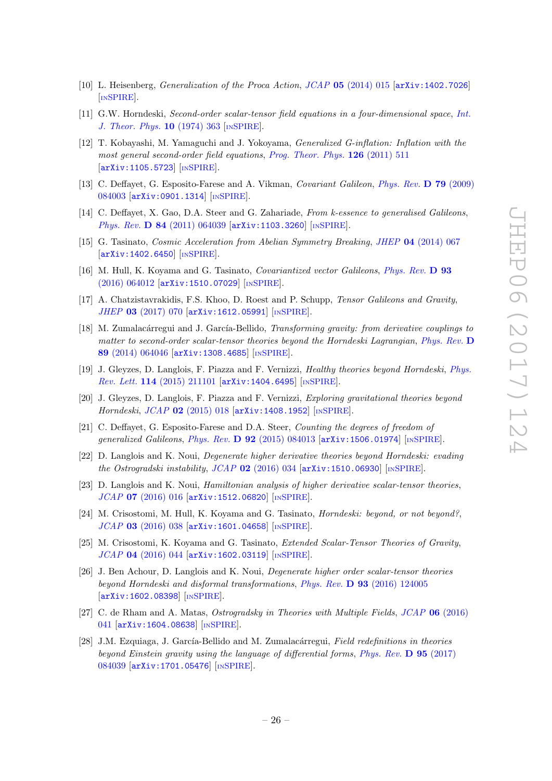- <span id="page-26-4"></span>[10] L. Heisenberg, Generalization of the Proca Action, JCAP 05 [\(2014\) 015](https://doi.org/10.1088/1475-7516/2014/05/015) [[arXiv:1402.7026](https://arxiv.org/abs/1402.7026)] [IN[SPIRE](https://inspirehep.net/search?p=find+EPRINT+arXiv:1402.7026)].
- <span id="page-26-0"></span>[11] G.W. Horndeski, Second-order scalar-tensor field equations in a four-dimensional space, [Int.](https://doi.org/10.1007/BF01807638) [J. Theor. Phys.](https://doi.org/10.1007/BF01807638) 10 (1974) 363 [IN[SPIRE](https://inspirehep.net/search?p=find+J+%22Int.J.Theor.Phys.,10,363%22)].
- <span id="page-26-1"></span>[12] T. Kobayashi, M. Yamaguchi and J. Yokoyama, Generalized G-inflation: Inflation with the most general second-order field equations, [Prog. Theor. Phys.](https://doi.org/10.1143/PTP.126.511) 126 (2011) 511 [[arXiv:1105.5723](https://arxiv.org/abs/1105.5723)] [IN[SPIRE](https://inspirehep.net/search?p=find+EPRINT+arXiv:1105.5723)].
- <span id="page-26-2"></span>[13] C. Deffayet, G. Esposito-Farese and A. Vikman, Covariant Galileon, [Phys. Rev.](https://doi.org/10.1103/PhysRevD.79.084003) D 79 (2009) [084003](https://doi.org/10.1103/PhysRevD.79.084003) [[arXiv:0901.1314](https://arxiv.org/abs/0901.1314)] [IN[SPIRE](https://inspirehep.net/search?p=find+EPRINT+arXiv:0901.1314)].
- <span id="page-26-3"></span>[14] C. Deffayet, X. Gao, D.A. Steer and G. Zahariade, From k-essence to generalised Galileons, Phys. Rev. **D 84** [\(2011\) 064039](https://doi.org/10.1103/PhysRevD.84.064039) [[arXiv:1103.3260](https://arxiv.org/abs/1103.3260)] [IN[SPIRE](https://inspirehep.net/search?p=find+EPRINT+arXiv:1103.3260)].
- <span id="page-26-5"></span>[15] G. Tasinato, Cosmic Acceleration from Abelian Symmetry Breaking, JHEP 04 [\(2014\) 067](https://doi.org/10.1007/JHEP04(2014)067) [[arXiv:1402.6450](https://arxiv.org/abs/1402.6450)] [IN[SPIRE](https://inspirehep.net/search?p=find+EPRINT+arXiv:1402.6450)].
- <span id="page-26-6"></span>[16] M. Hull, K. Koyama and G. Tasinato, Covariantized vector Galileons, [Phys. Rev.](https://doi.org/10.1103/PhysRevD.93.064012) D 93 [\(2016\) 064012](https://doi.org/10.1103/PhysRevD.93.064012) [[arXiv:1510.07029](https://arxiv.org/abs/1510.07029)] [IN[SPIRE](https://inspirehep.net/search?p=find+EPRINT+arXiv:1510.07029)].
- <span id="page-26-7"></span>[17] A. Chatzistavrakidis, F.S. Khoo, D. Roest and P. Schupp, Tensor Galileons and Gravity, JHEP 03 [\(2017\) 070](https://doi.org/10.1007/JHEP03(2017)070) [[arXiv:1612.05991](https://arxiv.org/abs/1612.05991)] [IN[SPIRE](https://inspirehep.net/search?p=find+EPRINT+arXiv:1612.05991)].
- <span id="page-26-8"></span>[18] M. Zumalacárregui and J. García-Bellido, Transforming gravity: from derivative couplings to matter to second-order scalar-tensor theories beyond the Horndeski Lagrangian, [Phys. Rev.](https://doi.org/10.1103/PhysRevD.89.064046) D 89 [\(2014\) 064046](https://doi.org/10.1103/PhysRevD.89.064046) [[arXiv:1308.4685](https://arxiv.org/abs/1308.4685)] [IN[SPIRE](https://inspirehep.net/search?p=find+EPRINT+arXiv:1308.4685)].
- [19] J. Gleyzes, D. Langlois, F. Piazza and F. Vernizzi, Healthy theories beyond Horndeski, [Phys.](https://doi.org/10.1103/PhysRevLett.114.211101) Rev. Lett. 114 [\(2015\) 211101](https://doi.org/10.1103/PhysRevLett.114.211101) [[arXiv:1404.6495](https://arxiv.org/abs/1404.6495)] [IN[SPIRE](https://inspirehep.net/search?p=find+EPRINT+arXiv:1404.6495)].
- <span id="page-26-9"></span>[20] J. Gleyzes, D. Langlois, F. Piazza and F. Vernizzi, Exploring gravitational theories beyond Horndeski, JCAP 02 [\(2015\) 018](https://doi.org/10.1088/1475-7516/2015/02/018) [[arXiv:1408.1952](https://arxiv.org/abs/1408.1952)] [IN[SPIRE](https://inspirehep.net/search?p=find+EPRINT+arXiv:1408.1952)].
- <span id="page-26-10"></span>[21] C. Deffayet, G. Esposito-Farese and D.A. Steer, Counting the degrees of freedom of generalized Galileons, Phys. Rev.  $\bf{D}$  92 [\(2015\) 084013](https://doi.org/10.1103/PhysRevD.92.084013) [[arXiv:1506.01974](https://arxiv.org/abs/1506.01974)] [IN[SPIRE](https://inspirehep.net/search?p=find+EPRINT+arXiv:1506.01974)].
- [22] D. Langlois and K. Noui, Degenerate higher derivative theories beyond Horndeski: evading the Ostrogradski instability, JCAP 02 [\(2016\) 034](https://doi.org/10.1088/1475-7516/2016/02/034)  $\left[$ [arXiv:1510.06930](https://arxiv.org/abs/1510.06930) $\right]$  [IN[SPIRE](https://inspirehep.net/search?p=find+EPRINT+arXiv:1510.06930)].
- [23] D. Langlois and K. Noui, Hamiltonian analysis of higher derivative scalar-tensor theories, JCAP 07 [\(2016\) 016](https://doi.org/10.1088/1475-7516/2016/07/016) [[arXiv:1512.06820](https://arxiv.org/abs/1512.06820)] [IN[SPIRE](https://inspirehep.net/search?p=find+EPRINT+arXiv:1512.06820)].
- [24] M. Crisostomi, M. Hull, K. Koyama and G. Tasinato, Horndeski: beyond, or not beyond?, JCAP 03 [\(2016\) 038](https://doi.org/10.1088/1475-7516/2016/03/038) [[arXiv:1601.04658](https://arxiv.org/abs/1601.04658)] [IN[SPIRE](https://inspirehep.net/search?p=find+EPRINT+arXiv:1601.04658)].
- <span id="page-26-12"></span>[25] M. Crisostomi, K. Koyama and G. Tasinato, Extended Scalar-Tensor Theories of Gravity, JCAP 04 [\(2016\) 044](https://doi.org/10.1088/1475-7516/2016/04/044) [[arXiv:1602.03119](https://arxiv.org/abs/1602.03119)] [IN[SPIRE](https://inspirehep.net/search?p=find+EPRINT+arXiv:1602.03119)].
- <span id="page-26-13"></span>[26] J. Ben Achour, D. Langlois and K. Noui, Degenerate higher order scalar-tensor theories beyond Horndeski and disformal transformations, Phys. Rev. D 93 [\(2016\) 124005](https://doi.org/10.1103/PhysRevD.93.124005) [[arXiv:1602.08398](https://arxiv.org/abs/1602.08398)] [IN[SPIRE](https://inspirehep.net/search?p=find+EPRINT+arXiv:1602.08398)].
- [27] C. de Rham and A. Matas, *Ostrogradsky in Theories with Multiple Fields*, *JCAP* **06** [\(2016\)](https://doi.org/10.1088/1475-7516/2016/06/041) [041](https://doi.org/10.1088/1475-7516/2016/06/041) [[arXiv:1604.08638](https://arxiv.org/abs/1604.08638)] [IN[SPIRE](https://inspirehep.net/search?p=find+EPRINT+arXiv:1604.08638)].
- <span id="page-26-11"></span>[28] J.M. Ezquiaga, J. García-Bellido and M. Zumalacárregui, Field redefinitions in theories beyond Einstein gravity using the language of differential forms, [Phys. Rev.](https://doi.org/10.1103/PhysRevD.95.084039) D 95 (2017) [084039](https://doi.org/10.1103/PhysRevD.95.084039) [[arXiv:1701.05476](https://arxiv.org/abs/1701.05476)] [IN[SPIRE](https://inspirehep.net/search?p=find+EPRINT+arXiv:1701.05476)].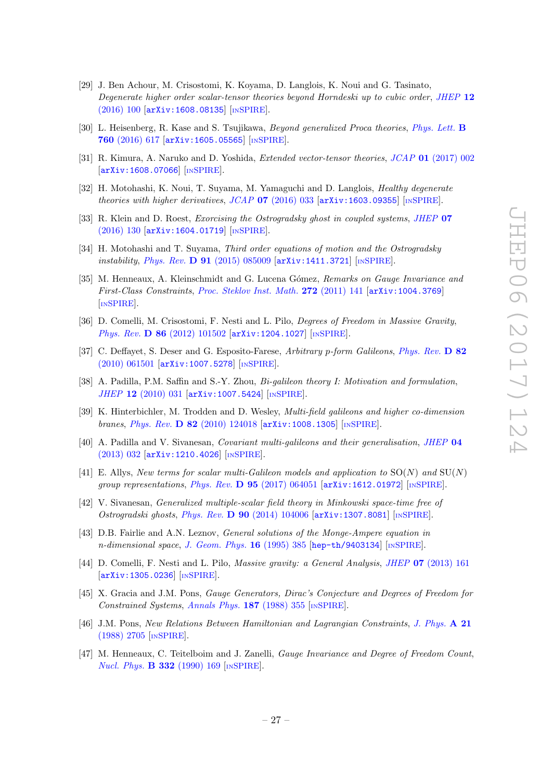- <span id="page-27-0"></span>[29] J. Ben Achour, M. Crisostomi, K. Koyama, D. Langlois, K. Noui and G. Tasinato, Degenerate higher order scalar-tensor theories beyond Horndeski up to cubic order, [JHEP](https://doi.org/10.1007/JHEP12(2016)100) 12 [\(2016\) 100](https://doi.org/10.1007/JHEP12(2016)100) [[arXiv:1608.08135](https://arxiv.org/abs/1608.08135)] [IN[SPIRE](https://inspirehep.net/search?p=find+EPRINT+arXiv:1608.08135)].
- <span id="page-27-1"></span>[30] L. Heisenberg, R. Kase and S. Tsujikawa, *Beyond generalized Proca theories, [Phys. Lett.](https://doi.org/10.1016/j.physletb.2016.07.052)* **B** 760 [\(2016\) 617](https://doi.org/10.1016/j.physletb.2016.07.052) [[arXiv:1605.05565](https://arxiv.org/abs/1605.05565)] [IN[SPIRE](https://inspirehep.net/search?p=find+EPRINT+arXiv:1605.05565)].
- <span id="page-27-2"></span>[31] R. Kimura, A. Naruko and D. Yoshida, *Extended vector-tensor theories, JCAP* 01 [\(2017\) 002](https://doi.org/10.1088/1475-7516/2017/01/002) [[arXiv:1608.07066](https://arxiv.org/abs/1608.07066)] [IN[SPIRE](https://inspirehep.net/search?p=find+EPRINT+arXiv:1608.07066)].
- <span id="page-27-3"></span>[32] H. Motohashi, K. Noui, T. Suyama, M. Yamaguchi and D. Langlois, *Healthy degenerate* theories with higher derivatives,  $JCAP$  07 [\(2016\) 033](https://doi.org/10.1088/1475-7516/2016/07/033) [[arXiv:1603.09355](https://arxiv.org/abs/1603.09355)] [IN[SPIRE](https://inspirehep.net/search?p=find+EPRINT+arXiv:1603.09355)].
- <span id="page-27-4"></span>[33] R. Klein and D. Roest, *Exorcising the Ostrogradsky ghost in coupled systems*, *[JHEP](https://doi.org/10.1007/JHEP07(2016)130)* 07 [\(2016\) 130](https://doi.org/10.1007/JHEP07(2016)130) [[arXiv:1604.01719](https://arxiv.org/abs/1604.01719)] [IN[SPIRE](https://inspirehep.net/search?p=find+EPRINT+arXiv:1604.01719)].
- <span id="page-27-5"></span>[34] H. Motohashi and T. Suyama, Third order equations of motion and the Ostrogradsky instability, *Phys. Rev.* **D 91** [\(2015\) 085009](https://doi.org/10.1103/PhysRevD.91.085009) [arXiv: 1411.3721] [IN[SPIRE](https://inspirehep.net/search?p=find+EPRINT+arXiv:1411.3721)].
- <span id="page-27-6"></span>[35] M. Henneaux, A. Kleinschmidt and G. Lucena Gómez, Remarks on Gauge Invariance and First-Class Constraints, [Proc. Steklov Inst. Math.](https://doi.org/10.1134/s0081543811010123) 272 (2011) 141 [[arXiv:1004.3769](https://arxiv.org/abs/1004.3769)] [IN[SPIRE](https://inspirehep.net/search?p=find+EPRINT+arXiv:1004.3769)].
- <span id="page-27-7"></span>[36] D. Comelli, M. Crisostomi, F. Nesti and L. Pilo, Degrees of Freedom in Massive Gravity, Phys. Rev. D 86 [\(2012\) 101502](https://doi.org/10.1103/PhysRevD.86.101502) [[arXiv:1204.1027](https://arxiv.org/abs/1204.1027)] [IN[SPIRE](https://inspirehep.net/search?p=find+EPRINT+arXiv:1204.1027)].
- <span id="page-27-8"></span>[37] C. Deffayet, S. Deser and G. Esposito-Farese, Arbitrary p-form Galileons, [Phys. Rev.](https://doi.org/10.1103/PhysRevD.82.061501) D 82 [\(2010\) 061501](https://doi.org/10.1103/PhysRevD.82.061501) [[arXiv:1007.5278](https://arxiv.org/abs/1007.5278)] [IN[SPIRE](https://inspirehep.net/search?p=find+EPRINT+arXiv:1007.5278)].
- [38] A. Padilla, P.M. Saffin and S.-Y. Zhou, *Bi-galileon theory I: Motivation and formulation*, JHEP 12 [\(2010\) 031](https://doi.org/10.1007/JHEP12(2010)031) [[arXiv:1007.5424](https://arxiv.org/abs/1007.5424)] [IN[SPIRE](https://inspirehep.net/search?p=find+EPRINT+arXiv:1007.5424)].
- <span id="page-27-9"></span>[39] K. Hinterbichler, M. Trodden and D. Wesley, Multi-field galileons and higher co-dimension branes, Phys. Rev. D  $82$  [\(2010\) 124018](https://doi.org/10.1103/PhysRevD.82.124018)  $\text{arXiv:1008.1305}$  $\text{arXiv:1008.1305}$  $\text{arXiv:1008.1305}$  [IN[SPIRE](https://inspirehep.net/search?p=find+EPRINT+arXiv:1008.1305)].
- <span id="page-27-10"></span>[40] A. Padilla and V. Sivanesan, Covariant multi-galileons and their generalisation, [JHEP](https://doi.org/10.1007/JHEP04(2013)032) 04 [\(2013\) 032](https://doi.org/10.1007/JHEP04(2013)032) [[arXiv:1210.4026](https://arxiv.org/abs/1210.4026)] [IN[SPIRE](https://inspirehep.net/search?p=find+EPRINT+arXiv:1210.4026)].
- <span id="page-27-11"></span>[41] E. Allys, New terms for scalar multi-Galileon models and application to  $SO(N)$  and  $SU(N)$ group representations, Phys. Rev. D  $95$  [\(2017\) 064051](https://doi.org/10.1103/PhysRevD.95.064051) [[arXiv:1612.01972](https://arxiv.org/abs/1612.01972)] [IN[SPIRE](https://inspirehep.net/search?p=find+EPRINT+arXiv:1612.01972)].
- <span id="page-27-12"></span>[42] V. Sivanesan, Generalized multiple-scalar field theory in Minkowski space-time free of Ostrogradski ghosts, Phys. Rev. D 90 [\(2014\) 104006](https://doi.org/10.1103/PhysRevD.90.104006)  $[\text{arXiv}:1307.8081]$  [IN[SPIRE](https://inspirehep.net/search?p=find+EPRINT+arXiv:1307.8081)].
- <span id="page-27-13"></span>[43] D.B. Fairlie and A.N. Leznov, General solutions of the Monge-Ampere equation in n-dimensional space, [J. Geom. Phys.](https://doi.org/10.1016/0393-0440(94)00035-3) 16 (1995) 385  $[hep-th/9403134]$  $[hep-th/9403134]$  $[hep-th/9403134]$   $[INSPIRE]$  $[INSPIRE]$  $[INSPIRE]$ .
- <span id="page-27-14"></span>[44] D. Comelli, F. Nesti and L. Pilo, *Massive gravity: a General Analysis, JHEP* 07 [\(2013\) 161](https://doi.org/10.1007/JHEP07(2013)161) [[arXiv:1305.0236](https://arxiv.org/abs/1305.0236)] [IN[SPIRE](https://inspirehep.net/search?p=find+EPRINT+arXiv:1305.0236)].
- <span id="page-27-15"></span>[45] X. Gracia and J.M. Pons, Gauge Generators, Dirac's Conjecture and Degrees of Freedom for Constrained Systems, [Annals Phys.](https://doi.org/10.1016/0003-4916(88)90153-4) 187 (1988) 355 [IN[SPIRE](https://inspirehep.net/search?p=find+J+%22AnnalsPhys.,187,355%22)].
- [46] J.M. Pons, New Relations Between Hamiltonian and Lagrangian Constraints, [J. Phys.](https://doi.org/10.1088/0305-4470/21/12/014) A 21 [\(1988\) 2705](https://doi.org/10.1088/0305-4470/21/12/014) [IN[SPIRE](https://inspirehep.net/search?p=find+J+%22J.Phys.,A21,2705%22)].
- [47] M. Henneaux, C. Teitelboim and J. Zanelli, *Gauge Invariance and Degree of Freedom Count*, [Nucl. Phys.](https://doi.org/10.1016/0550-3213(90)90034-B) **B 332** (1990) 169 [IN[SPIRE](https://inspirehep.net/search?p=find+J+%22Nucl.Phys.,B332,169%22)].